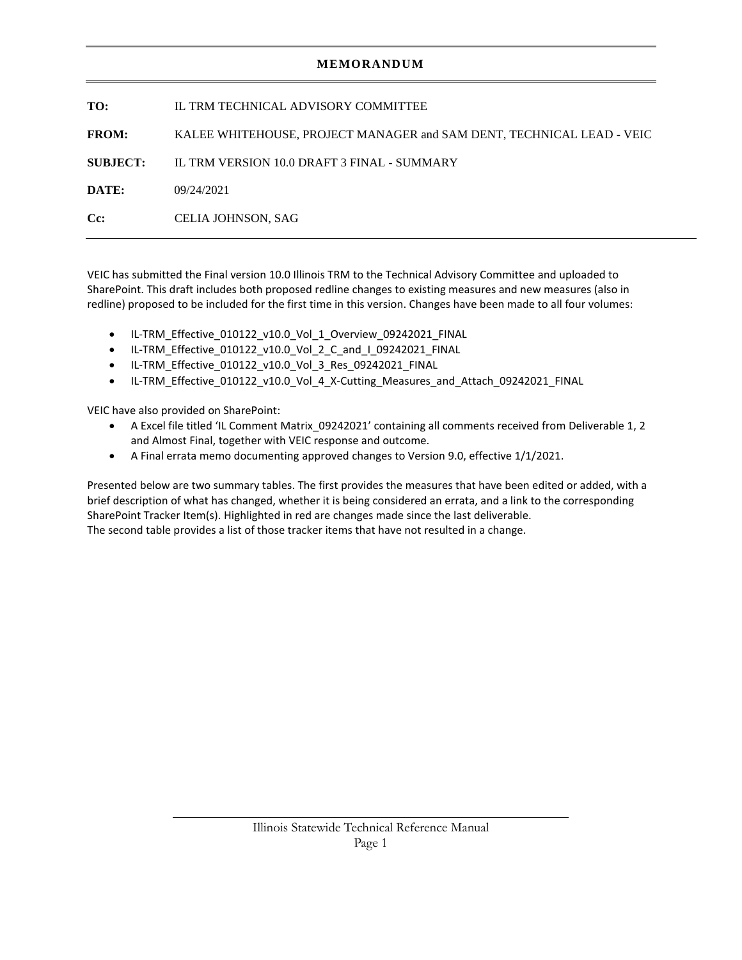## **MEMORANDUM**

| TO:                | IL TRM TECHNICAL ADVISORY COMMITTEE                                   |
|--------------------|-----------------------------------------------------------------------|
| <b>FROM:</b>       | KALEE WHITEHOUSE, PROJECT MANAGER and SAM DENT, TECHNICAL LEAD - VEIC |
| <b>SUBJECT:</b>    | IL TRM VERSION 10.0 DRAFT 3 FINAL - SUMMARY                           |
| DATE:              | 09/24/2021                                                            |
| $C_{\mathbb{C}}$ : | <b>CELIA JOHNSON, SAG</b>                                             |
|                    |                                                                       |

VEIC has submitted the Final version 10.0 Illinois TRM to the Technical Advisory Committee and uploaded to SharePoint. This draft includes both proposed redline changes to existing measures and new measures (also in redline) proposed to be included for the first time in this version. Changes have been made to all four volumes:

- IL-TRM\_Effective\_010122\_v10.0\_Vol\_1\_Overview\_09242021\_FINAL
- IL-TRM\_Effective\_010122\_v10.0\_Vol\_2\_C\_and\_I\_09242021\_FINAL
- IL-TRM\_Effective\_010122\_v10.0\_Vol\_3\_Res\_09242021\_FINAL
- IL-TRM\_Effective\_010122\_v10.0\_Vol\_4\_X-Cutting\_Measures\_and\_Attach\_09242021\_FINAL

VEIC have also provided on SharePoint:

- A Excel file titled 'IL Comment Matrix\_09242021' containing all comments received from Deliverable 1, 2 and Almost Final, together with VEIC response and outcome.
- A Final errata memo documenting approved changes to Version 9.0, effective 1/1/2021.

Presented below are two summary tables. The first provides the measures that have been edited or added, with a brief description of what has changed, whether it is being considered an errata, and a link to the corresponding SharePoint Tracker Item(s). Highlighted in red are changes made since the last deliverable. The second table provides a list of those tracker items that have not resulted in a change.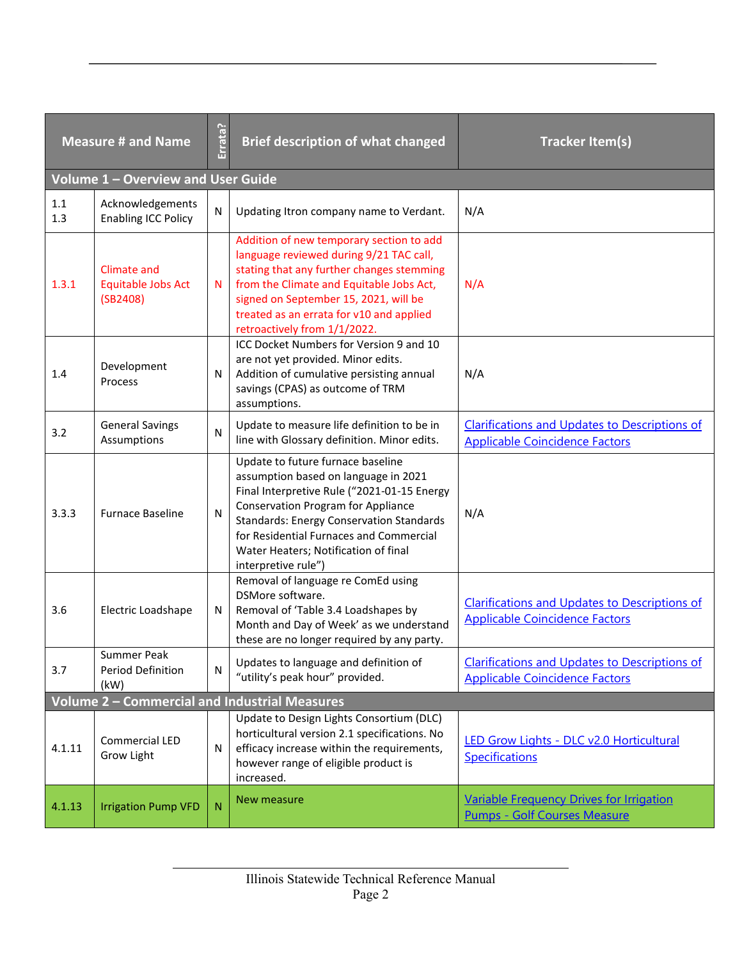| <b>Measure # and Name</b> |                                                      | Errata? | <b>Brief description of what changed</b>                                                                                                                                                                                                                                                                                           | <b>Tracker Item(s)</b>                                                                        |
|---------------------------|------------------------------------------------------|---------|------------------------------------------------------------------------------------------------------------------------------------------------------------------------------------------------------------------------------------------------------------------------------------------------------------------------------------|-----------------------------------------------------------------------------------------------|
|                           | Volume 1 - Overview and User Guide                   |         |                                                                                                                                                                                                                                                                                                                                    |                                                                                               |
|                           |                                                      |         |                                                                                                                                                                                                                                                                                                                                    |                                                                                               |
| $1.1\,$<br>1.3            | Acknowledgements<br><b>Enabling ICC Policy</b>       | N       | Updating Itron company name to Verdant.                                                                                                                                                                                                                                                                                            | N/A                                                                                           |
| 1.3.1                     | <b>Climate and</b><br>Equitable Jobs Act<br>(SB2408) | N       | Addition of new temporary section to add<br>language reviewed during 9/21 TAC call,<br>stating that any further changes stemming<br>from the Climate and Equitable Jobs Act,<br>signed on September 15, 2021, will be<br>treated as an errata for v10 and applied<br>retroactively from 1/1/2022.                                  | N/A                                                                                           |
| 1.4                       | Development<br>Process                               | N       | ICC Docket Numbers for Version 9 and 10<br>are not yet provided. Minor edits.<br>Addition of cumulative persisting annual<br>savings (CPAS) as outcome of TRM<br>assumptions.                                                                                                                                                      | N/A                                                                                           |
| 3.2                       | <b>General Savings</b><br>Assumptions                | N       | Update to measure life definition to be in<br>line with Glossary definition. Minor edits.                                                                                                                                                                                                                                          | <b>Clarifications and Updates to Descriptions of</b><br><b>Applicable Coincidence Factors</b> |
| 3.3.3                     | <b>Furnace Baseline</b>                              | N       | Update to future furnace baseline<br>assumption based on language in 2021<br>Final Interpretive Rule ("2021-01-15 Energy<br><b>Conservation Program for Appliance</b><br><b>Standards: Energy Conservation Standards</b><br>for Residential Furnaces and Commercial<br>Water Heaters; Notification of final<br>interpretive rule") | N/A                                                                                           |
| 3.6                       | Electric Loadshape                                   | N       | Removal of language re ComEd using<br>DSMore software.<br>Removal of 'Table 3.4 Loadshapes by<br>Month and Day of Week' as we understand<br>these are no longer required by any party.                                                                                                                                             | <b>Clarifications and Updates to Descriptions of</b><br><b>Applicable Coincidence Factors</b> |
| 3.7                       | Summer Peak<br>Period Definition<br>(kW)             | N       | Updates to language and definition of<br>"utility's peak hour" provided.                                                                                                                                                                                                                                                           | <b>Clarifications and Updates to Descriptions of</b><br><b>Applicable Coincidence Factors</b> |
|                           |                                                      |         | Volume 2 - Commercial and Industrial Measures                                                                                                                                                                                                                                                                                      |                                                                                               |
| 4.1.11                    | Commercial LED<br>Grow Light                         | N       | Update to Design Lights Consortium (DLC)<br>horticultural version 2.1 specifications. No<br>efficacy increase within the requirements,<br>however range of eligible product is<br>increased.                                                                                                                                       | LED Grow Lights - DLC v2.0 Horticultural<br><b>Specifications</b>                             |
| 4.1.13                    | <b>Irrigation Pump VFD</b>                           | N       | New measure                                                                                                                                                                                                                                                                                                                        | Variable Frequency Drives for Irrigation<br><b>Pumps - Golf Courses Measure</b>               |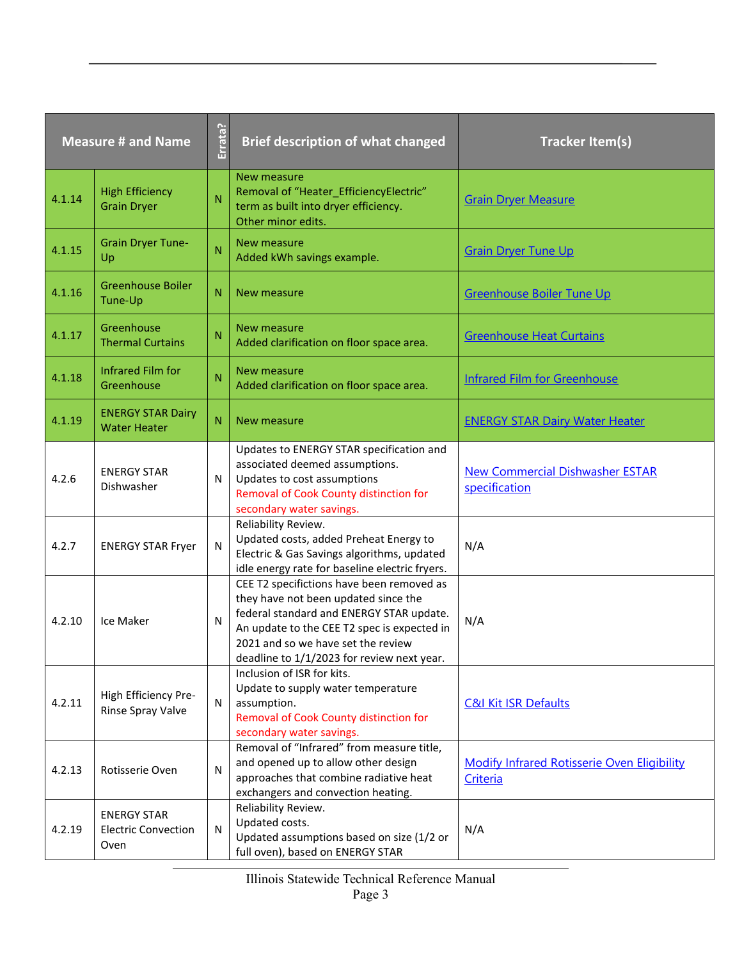| <b>Measure # and Name</b> |                                                          | Errata? | <b>Brief description of what changed</b>                                                                                                                                                                                                                         | <b>Tracker Item(s)</b>                                  |
|---------------------------|----------------------------------------------------------|---------|------------------------------------------------------------------------------------------------------------------------------------------------------------------------------------------------------------------------------------------------------------------|---------------------------------------------------------|
| 4.1.14                    | <b>High Efficiency</b><br><b>Grain Dryer</b>             | N       | <b>New measure</b><br>Removal of "Heater_EfficiencyElectric"<br>term as built into dryer efficiency.<br>Other minor edits.                                                                                                                                       | <b>Grain Dryer Measure</b>                              |
| 4.1.15                    | <b>Grain Dryer Tune-</b><br>Up                           | N       | New measure<br>Added kWh savings example.                                                                                                                                                                                                                        | <b>Grain Dryer Tune Up</b>                              |
| 4.1.16                    | <b>Greenhouse Boiler</b><br>Tune-Up                      | N       | New measure                                                                                                                                                                                                                                                      | Greenhouse Boiler Tune Up                               |
| 4.1.17                    | Greenhouse<br><b>Thermal Curtains</b>                    | N       | New measure<br>Added clarification on floor space area.                                                                                                                                                                                                          | <b>Greenhouse Heat Curtains</b>                         |
| 4.1.18                    | <b>Infrared Film for</b><br>Greenhouse                   | N       | New measure<br>Added clarification on floor space area.                                                                                                                                                                                                          | <b>Infrared Film for Greenhouse</b>                     |
| 4.1.19                    | <b>ENERGY STAR Dairy</b><br><b>Water Heater</b>          | Ν       | New measure                                                                                                                                                                                                                                                      | <b>ENERGY STAR Dairy Water Heater</b>                   |
| 4.2.6                     | <b>ENERGY STAR</b><br>Dishwasher                         | N       | Updates to ENERGY STAR specification and<br>associated deemed assumptions.<br>Updates to cost assumptions<br>Removal of Cook County distinction for<br>secondary water savings.                                                                                  | <b>New Commercial Dishwasher ESTAR</b><br>specification |
| 4.2.7                     | <b>ENERGY STAR Fryer</b>                                 | N       | Reliability Review.<br>Updated costs, added Preheat Energy to<br>Electric & Gas Savings algorithms, updated<br>idle energy rate for baseline electric fryers.                                                                                                    | N/A                                                     |
| 4.2.10                    | Ice Maker                                                | N       | CEE T2 specifictions have been removed as<br>they have not been updated since the<br>federal standard and ENERGY STAR update.<br>An update to the CEE T2 spec is expected in<br>2021 and so we have set the review<br>deadline to 1/1/2023 for review next year. | N/A                                                     |
| 4.2.11                    | High Efficiency Pre-<br>Rinse Spray Valve                | N       | Inclusion of ISR for kits.<br>Update to supply water temperature<br>assumption.<br>Removal of Cook County distinction for<br>secondary water savings.                                                                                                            | <b>C&amp;I Kit ISR Defaults</b>                         |
| 4.2.13                    | Rotisserie Oven                                          | N       | Removal of "Infrared" from measure title,<br>and opened up to allow other design<br>approaches that combine radiative heat<br>exchangers and convection heating.                                                                                                 | Modify Infrared Rotisserie Oven Eligibility<br>Criteria |
| 4.2.19                    | <b>ENERGY STAR</b><br><b>Electric Convection</b><br>Oven | N       | Reliability Review.<br>Updated costs.<br>Updated assumptions based on size (1/2 or<br>full oven), based on ENERGY STAR                                                                                                                                           | N/A                                                     |

Illinois Statewide Technical Reference Manual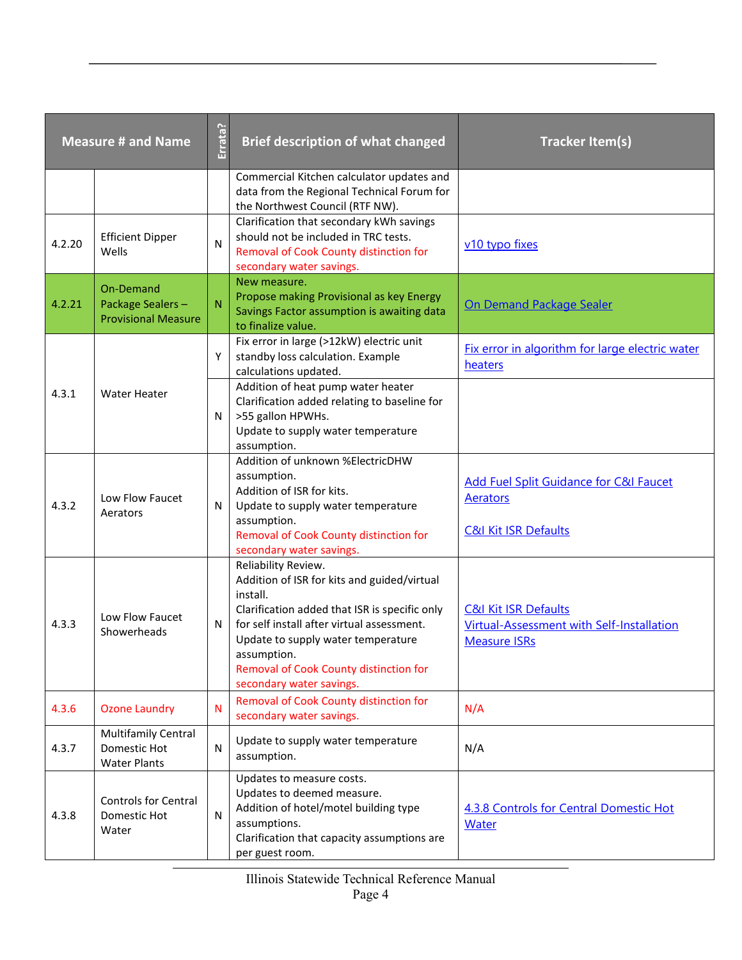| <b>Measure # and Name</b> |                                                                   | Errata?      | <b>Brief description of what changed</b>                                                                                                                                                                                                                                                                 | <b>Tracker Item(s)</b>                                                                              |
|---------------------------|-------------------------------------------------------------------|--------------|----------------------------------------------------------------------------------------------------------------------------------------------------------------------------------------------------------------------------------------------------------------------------------------------------------|-----------------------------------------------------------------------------------------------------|
|                           |                                                                   |              | Commercial Kitchen calculator updates and<br>data from the Regional Technical Forum for<br>the Northwest Council (RTF NW).                                                                                                                                                                               |                                                                                                     |
| 4.2.20                    | <b>Efficient Dipper</b><br>Wells                                  | N            | Clarification that secondary kWh savings<br>should not be included in TRC tests.<br>Removal of Cook County distinction for<br>secondary water savings.                                                                                                                                                   | v10 typo fixes                                                                                      |
| 4.2.21                    | On-Demand<br>Package Sealers-<br><b>Provisional Measure</b>       | $\mathsf{N}$ | New measure.<br>Propose making Provisional as key Energy<br>Savings Factor assumption is awaiting data<br>to finalize value.                                                                                                                                                                             | On Demand Package Sealer                                                                            |
|                           |                                                                   | Y            | Fix error in large (>12kW) electric unit<br>standby loss calculation. Example<br>calculations updated.                                                                                                                                                                                                   | Fix error in algorithm for large electric water<br>heaters                                          |
| 4.3.1                     | <b>Water Heater</b>                                               | N            | Addition of heat pump water heater<br>Clarification added relating to baseline for<br>>55 gallon HPWHs.<br>Update to supply water temperature<br>assumption.                                                                                                                                             |                                                                                                     |
| 4.3.2                     | Low Flow Faucet<br>Aerators                                       | N            | Addition of unknown %ElectricDHW<br>assumption.<br>Addition of ISR for kits.<br>Update to supply water temperature<br>assumption.<br>Removal of Cook County distinction for<br>secondary water savings.                                                                                                  | <b>Add Fuel Split Guidance for C&amp;I Faucet</b><br>Aerators<br><b>C&amp;I Kit ISR Defaults</b>    |
| 4.3.3                     | Low Flow Faucet<br>Showerheads                                    | $\mathsf{N}$ | Reliability Review.<br>Addition of ISR for kits and guided/virtual<br>install.<br>Clarification added that ISR is specific only<br>for self install after virtual assessment.<br>Update to supply water temperature<br>assumption.<br>Removal of Cook County distinction for<br>secondary water savings. | <b>C&amp;I Kit ISR Defaults</b><br>Virtual-Assessment with Self-Installation<br><b>Measure ISRs</b> |
| 4.3.6                     | <b>Ozone Laundry</b>                                              | $\mathsf{N}$ | Removal of Cook County distinction for<br>secondary water savings.                                                                                                                                                                                                                                       | N/A                                                                                                 |
| 4.3.7                     | <b>Multifamily Central</b><br>Domestic Hot<br><b>Water Plants</b> | ${\sf N}$    | Update to supply water temperature<br>assumption.                                                                                                                                                                                                                                                        | N/A                                                                                                 |
| 4.3.8                     | <b>Controls for Central</b><br>Domestic Hot<br>Water              | $\mathsf{N}$ | Updates to measure costs.<br>Updates to deemed measure.<br>Addition of hotel/motel building type<br>assumptions.<br>Clarification that capacity assumptions are<br>per guest room.                                                                                                                       | <b>4.3.8 Controls for Central Domestic Hot</b><br><b>Water</b>                                      |

Illinois Statewide Technical Reference Manual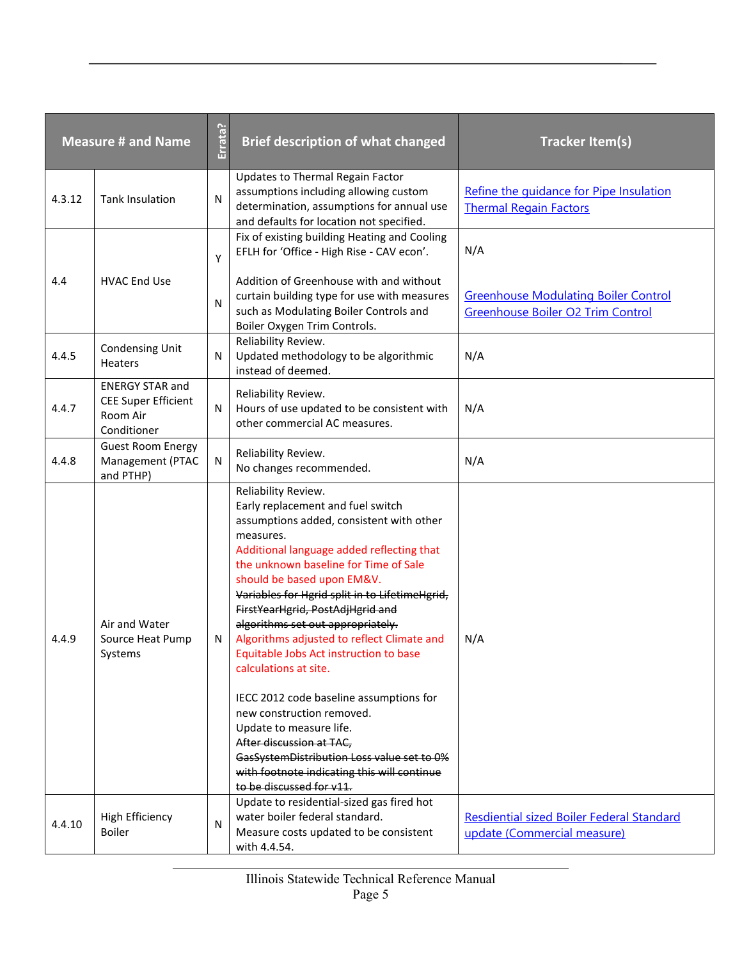|        | <b>Measure # and Name</b>                                                       | Errata? | <b>Brief description of what changed</b>                                                                                                                                                                                                                                                                                                                                                                                                                                                                                                                                                                                                                                                                                                  | <b>Tracker Item(s)</b>                                                           |
|--------|---------------------------------------------------------------------------------|---------|-------------------------------------------------------------------------------------------------------------------------------------------------------------------------------------------------------------------------------------------------------------------------------------------------------------------------------------------------------------------------------------------------------------------------------------------------------------------------------------------------------------------------------------------------------------------------------------------------------------------------------------------------------------------------------------------------------------------------------------------|----------------------------------------------------------------------------------|
| 4.3.12 | <b>Tank Insulation</b>                                                          | N       | Updates to Thermal Regain Factor<br>assumptions including allowing custom<br>determination, assumptions for annual use<br>and defaults for location not specified.                                                                                                                                                                                                                                                                                                                                                                                                                                                                                                                                                                        | Refine the quidance for Pipe Insulation<br><b>Thermal Regain Factors</b>         |
|        |                                                                                 | Υ       | Fix of existing building Heating and Cooling<br>EFLH for 'Office - High Rise - CAV econ'.                                                                                                                                                                                                                                                                                                                                                                                                                                                                                                                                                                                                                                                 | N/A                                                                              |
| 4.4    | <b>HVAC End Use</b>                                                             | N       | Addition of Greenhouse with and without<br>curtain building type for use with measures<br>such as Modulating Boiler Controls and<br>Boiler Oxygen Trim Controls.                                                                                                                                                                                                                                                                                                                                                                                                                                                                                                                                                                          | <b>Greenhouse Modulating Boiler Control</b><br>Greenhouse Boiler O2 Trim Control |
| 4.4.5  | <b>Condensing Unit</b><br><b>Heaters</b>                                        | N       | Reliability Review.<br>Updated methodology to be algorithmic<br>instead of deemed.                                                                                                                                                                                                                                                                                                                                                                                                                                                                                                                                                                                                                                                        | N/A                                                                              |
| 4.4.7  | <b>ENERGY STAR and</b><br><b>CEE Super Efficient</b><br>Room Air<br>Conditioner | N       | Reliability Review.<br>Hours of use updated to be consistent with<br>other commercial AC measures.                                                                                                                                                                                                                                                                                                                                                                                                                                                                                                                                                                                                                                        | N/A                                                                              |
| 4.4.8  | <b>Guest Room Energy</b><br>Management (PTAC<br>and PTHP)                       | N       | Reliability Review.<br>No changes recommended.                                                                                                                                                                                                                                                                                                                                                                                                                                                                                                                                                                                                                                                                                            | N/A                                                                              |
| 4.4.9  | Air and Water<br>Source Heat Pump<br>Systems                                    | N       | Reliability Review.<br>Early replacement and fuel switch<br>assumptions added, consistent with other<br>measures.<br>Additional language added reflecting that<br>the unknown baseline for Time of Sale<br>should be based upon EM&V.<br>Variables for Hgrid split in to LifetimeHgrid,<br>FirstYearHgrid, PostAdjHgrid and<br>algorithms set out appropriately.<br>Algorithms adjusted to reflect Climate and<br>Equitable Jobs Act instruction to base<br>calculations at site.<br>IECC 2012 code baseline assumptions for<br>new construction removed.<br>Update to measure life.<br>After discussion at TAC,<br>GasSystemDistribution Loss value set to 0%<br>with footnote indicating this will continue<br>to be discussed for v11. | N/A                                                                              |
| 4.4.10 | <b>High Efficiency</b><br><b>Boiler</b>                                         | N       | Update to residential-sized gas fired hot<br>water boiler federal standard.<br>Measure costs updated to be consistent<br>with 4.4.54.                                                                                                                                                                                                                                                                                                                                                                                                                                                                                                                                                                                                     | Resdiential sized Boiler Federal Standard<br>update (Commercial measure)         |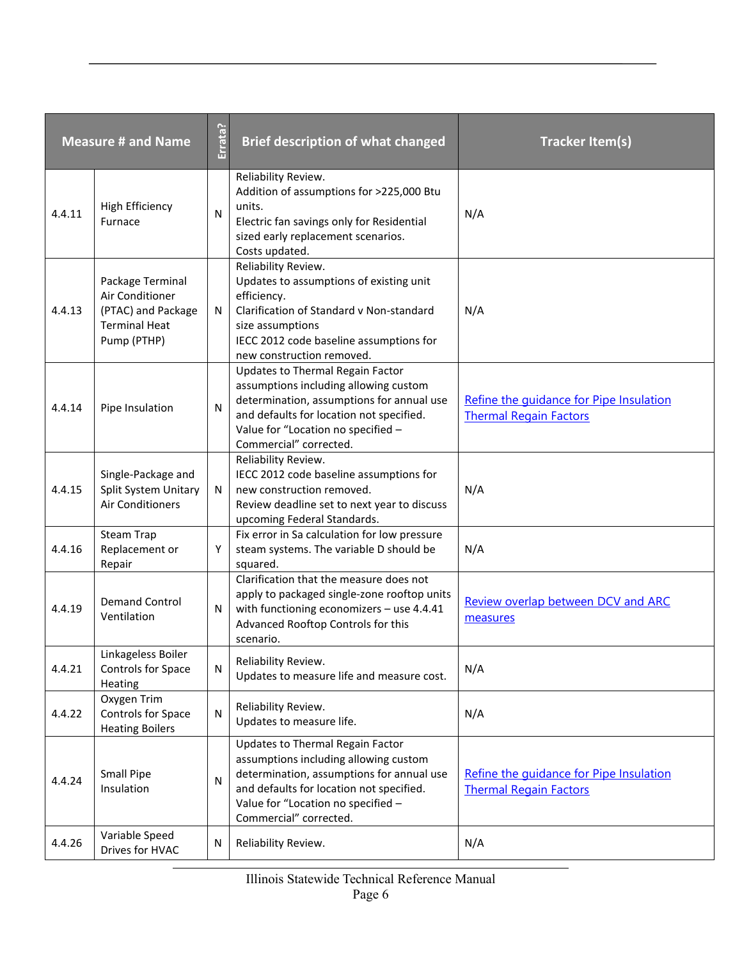|        | <b>Measure # and Name</b>                                                                        | Errata? | <b>Brief description of what changed</b>                                                                                                                                                                                           | <b>Tracker Item(s)</b>                                                   |
|--------|--------------------------------------------------------------------------------------------------|---------|------------------------------------------------------------------------------------------------------------------------------------------------------------------------------------------------------------------------------------|--------------------------------------------------------------------------|
| 4.4.11 | <b>High Efficiency</b><br>Furnace                                                                | N       | Reliability Review.<br>Addition of assumptions for >225,000 Btu<br>units.<br>Electric fan savings only for Residential<br>sized early replacement scenarios.<br>Costs updated.                                                     | N/A                                                                      |
| 4.4.13 | Package Terminal<br>Air Conditioner<br>(PTAC) and Package<br><b>Terminal Heat</b><br>Pump (PTHP) | N       | Reliability Review.<br>Updates to assumptions of existing unit<br>efficiency.<br>Clarification of Standard v Non-standard<br>size assumptions<br>IECC 2012 code baseline assumptions for<br>new construction removed.              | N/A                                                                      |
| 4.4.14 | Pipe Insulation                                                                                  | N       | Updates to Thermal Regain Factor<br>assumptions including allowing custom<br>determination, assumptions for annual use<br>and defaults for location not specified.<br>Value for "Location no specified -<br>Commercial" corrected. | Refine the quidance for Pipe Insulation<br><b>Thermal Regain Factors</b> |
| 4.4.15 | Single-Package and<br>Split System Unitary<br><b>Air Conditioners</b>                            | N       | Reliability Review.<br>IECC 2012 code baseline assumptions for<br>new construction removed.<br>Review deadline set to next year to discuss<br>upcoming Federal Standards.                                                          | N/A                                                                      |
| 4.4.16 | Steam Trap<br>Replacement or<br>Repair                                                           | Y       | Fix error in Sa calculation for low pressure<br>steam systems. The variable D should be<br>squared.                                                                                                                                | N/A                                                                      |
| 4.4.19 | <b>Demand Control</b><br>Ventilation                                                             | N       | Clarification that the measure does not<br>apply to packaged single-zone rooftop units<br>with functioning economizers - use 4.4.41<br>Advanced Rooftop Controls for this<br>scenario.                                             | Review overlap between DCV and ARC<br>measures                           |
| 4.4.21 | Linkageless Boiler<br>Controls for Space<br>Heating                                              | N       | Reliability Review.<br>Updates to measure life and measure cost.                                                                                                                                                                   | N/A                                                                      |
| 4.4.22 | Oxygen Trim<br>Controls for Space<br><b>Heating Boilers</b>                                      | N       | Reliability Review.<br>Updates to measure life.                                                                                                                                                                                    | N/A                                                                      |
| 4.4.24 | <b>Small Pipe</b><br>Insulation                                                                  | N       | Updates to Thermal Regain Factor<br>assumptions including allowing custom<br>determination, assumptions for annual use<br>and defaults for location not specified.<br>Value for "Location no specified -<br>Commercial" corrected. | Refine the quidance for Pipe Insulation<br><b>Thermal Regain Factors</b> |
| 4.4.26 | Variable Speed<br>Drives for HVAC                                                                | N       | Reliability Review.                                                                                                                                                                                                                | N/A                                                                      |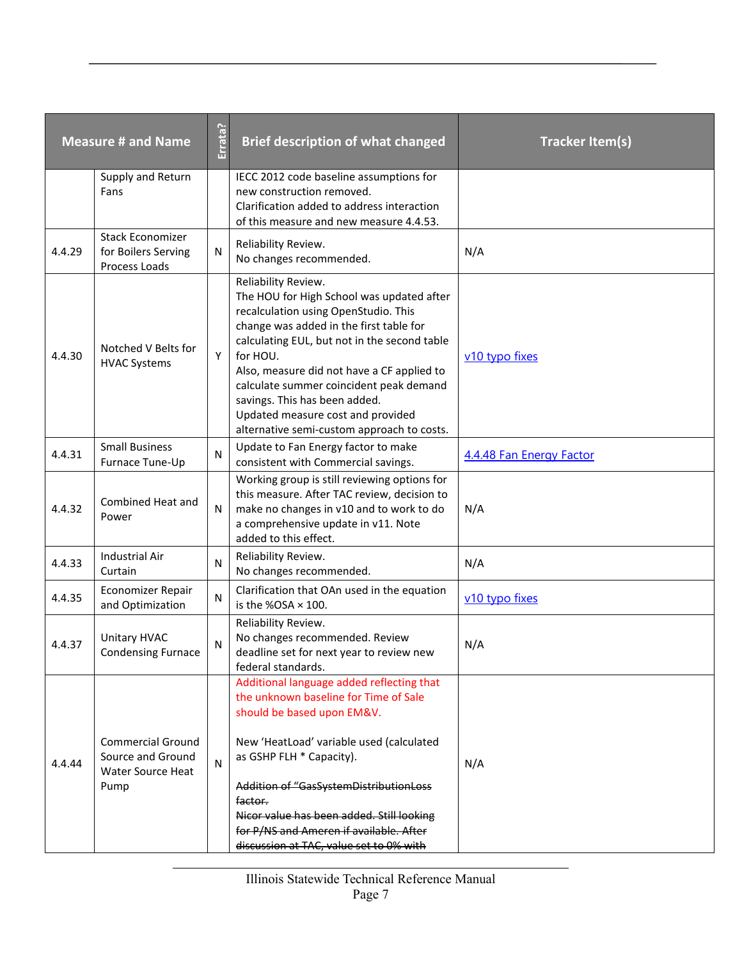| <b>Measure # and Name</b> |                                                                            | Errata?      | <b>Brief description of what changed</b>                                                                                                                                                                                                                                                                                                                                                                                     | <b>Tracker Item(s)</b>   |
|---------------------------|----------------------------------------------------------------------------|--------------|------------------------------------------------------------------------------------------------------------------------------------------------------------------------------------------------------------------------------------------------------------------------------------------------------------------------------------------------------------------------------------------------------------------------------|--------------------------|
|                           | Supply and Return<br>Fans                                                  |              | IECC 2012 code baseline assumptions for<br>new construction removed.<br>Clarification added to address interaction<br>of this measure and new measure 4.4.53.                                                                                                                                                                                                                                                                |                          |
| 4.4.29                    | <b>Stack Economizer</b><br>for Boilers Serving<br>Process Loads            | N            | Reliability Review.<br>No changes recommended.                                                                                                                                                                                                                                                                                                                                                                               | N/A                      |
| 4.4.30                    | Notched V Belts for<br><b>HVAC Systems</b>                                 | Y            | Reliability Review.<br>The HOU for High School was updated after<br>recalculation using OpenStudio. This<br>change was added in the first table for<br>calculating EUL, but not in the second table<br>for HOU.<br>Also, measure did not have a CF applied to<br>calculate summer coincident peak demand<br>savings. This has been added.<br>Updated measure cost and provided<br>alternative semi-custom approach to costs. | v10 typo fixes           |
| 4.4.31                    | <b>Small Business</b><br>Furnace Tune-Up                                   | $\mathsf{N}$ | Update to Fan Energy factor to make<br>consistent with Commercial savings.                                                                                                                                                                                                                                                                                                                                                   | 4.4.48 Fan Energy Factor |
| 4.4.32                    | Combined Heat and<br>Power                                                 | N            | Working group is still reviewing options for<br>this measure. After TAC review, decision to<br>make no changes in v10 and to work to do<br>a comprehensive update in v11. Note<br>added to this effect.                                                                                                                                                                                                                      | N/A                      |
| 4.4.33                    | <b>Industrial Air</b><br>Curtain                                           | N            | Reliability Review.<br>No changes recommended.                                                                                                                                                                                                                                                                                                                                                                               | N/A                      |
| 4.4.35                    | Economizer Repair<br>and Optimization                                      | N            | Clarification that OAn used in the equation<br>is the %OSA $\times$ 100.                                                                                                                                                                                                                                                                                                                                                     | v10 typo fixes           |
| 4.4.37                    | <b>Unitary HVAC</b><br><b>Condensing Furnace</b>                           | N            | Reliability Review.<br>No changes recommended. Review<br>deadline set for next year to review new<br>federal standards.                                                                                                                                                                                                                                                                                                      | N/A                      |
| 4.4.44                    | <b>Commercial Ground</b><br>Source and Ground<br>Water Source Heat<br>Pump | N            | Additional language added reflecting that<br>the unknown baseline for Time of Sale<br>should be based upon EM&V.<br>New 'HeatLoad' variable used (calculated<br>as GSHP FLH * Capacity).<br>Addition of "GasSystemDistributionLoss<br><del>factor.</del><br>Nicor value has been added. Still looking<br>for P/NS and Ameren if available. After<br>discussion at TAC, value set to 0% with                                  | N/A                      |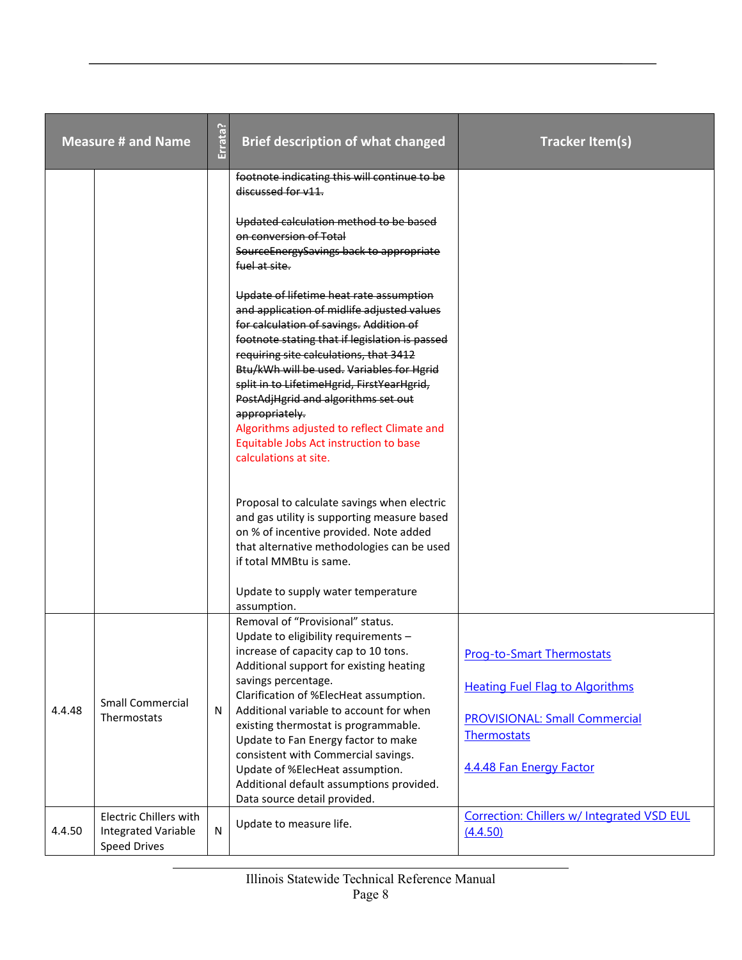|        | <b>Measure # and Name</b>                                                   | Errata? | <b>Brief description of what changed</b>                                                                                                                                                                                                                                                                                                                                                                                                                                                                                                                          | <b>Tracker Item(s)</b>                                                                                                                                        |
|--------|-----------------------------------------------------------------------------|---------|-------------------------------------------------------------------------------------------------------------------------------------------------------------------------------------------------------------------------------------------------------------------------------------------------------------------------------------------------------------------------------------------------------------------------------------------------------------------------------------------------------------------------------------------------------------------|---------------------------------------------------------------------------------------------------------------------------------------------------------------|
|        |                                                                             |         | footnote indicating this will continue to be<br>discussed for v11.                                                                                                                                                                                                                                                                                                                                                                                                                                                                                                |                                                                                                                                                               |
|        |                                                                             |         | Updated calculation method to be based<br>on conversion of Total<br>SourceEnergySavings back to appropriate<br>fuel at site.                                                                                                                                                                                                                                                                                                                                                                                                                                      |                                                                                                                                                               |
|        |                                                                             |         | Update of lifetime heat rate assumption<br>and application of midlife adjusted values<br>for calculation of savings. Addition of<br>footnote stating that if legislation is passed<br>requiring site calculations, that 3412<br>Btu/kWh will be used. Variables for Hgrid<br>split in to LifetimeHgrid, FirstYearHgrid,<br>PostAdjHgrid and algorithms set out<br>appropriately.<br>Algorithms adjusted to reflect Climate and<br>Equitable Jobs Act instruction to base<br>calculations at site.                                                                 |                                                                                                                                                               |
|        |                                                                             |         | Proposal to calculate savings when electric<br>and gas utility is supporting measure based<br>on % of incentive provided. Note added<br>that alternative methodologies can be used<br>if total MMBtu is same.                                                                                                                                                                                                                                                                                                                                                     |                                                                                                                                                               |
| 4.4.48 | <b>Small Commercial</b><br>Thermostats                                      | N       | Update to supply water temperature<br>assumption.<br>Removal of "Provisional" status.<br>Update to eligibility requirements -<br>increase of capacity cap to 10 tons.<br>Additional support for existing heating<br>savings percentage.<br>Clarification of %ElecHeat assumption.<br>Additional variable to account for when<br>existing thermostat is programmable.<br>Update to Fan Energy factor to make<br>consistent with Commercial savings.<br>Update of %ElecHeat assumption.<br>Additional default assumptions provided.<br>Data source detail provided. | <b>Prog-to-Smart Thermostats</b><br><b>Heating Fuel Flag to Algorithms</b><br><b>PROVISIONAL: Small Commercial</b><br>Thermostats<br>4.4.48 Fan Energy Factor |
| 4.4.50 | <b>Electric Chillers with</b><br>Integrated Variable<br><b>Speed Drives</b> | N       | Update to measure life.                                                                                                                                                                                                                                                                                                                                                                                                                                                                                                                                           | Correction: Chillers w/ Integrated VSD EUL<br>(4.4.50)                                                                                                        |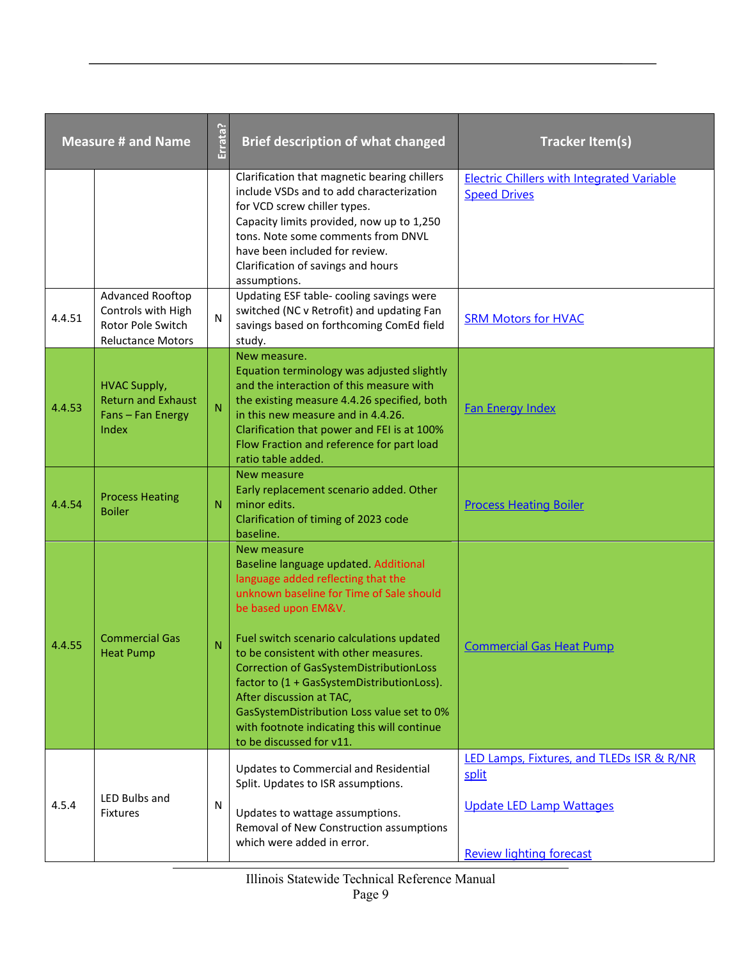|        | <b>Measure # and Name</b>                                                                      | Errata? | <b>Brief description of what changed</b>                                                                                                                                                                                                                                                                                                                                                                                                                                                                 | <b>Tracker Item(s)</b>                                                                                                   |
|--------|------------------------------------------------------------------------------------------------|---------|----------------------------------------------------------------------------------------------------------------------------------------------------------------------------------------------------------------------------------------------------------------------------------------------------------------------------------------------------------------------------------------------------------------------------------------------------------------------------------------------------------|--------------------------------------------------------------------------------------------------------------------------|
|        |                                                                                                |         | Clarification that magnetic bearing chillers<br>include VSDs and to add characterization<br>for VCD screw chiller types.<br>Capacity limits provided, now up to 1,250<br>tons. Note some comments from DNVL<br>have been included for review.<br>Clarification of savings and hours<br>assumptions.                                                                                                                                                                                                      | <b>Electric Chillers with Integrated Variable</b><br><b>Speed Drives</b>                                                 |
| 4.4.51 | <b>Advanced Rooftop</b><br>Controls with High<br>Rotor Pole Switch<br><b>Reluctance Motors</b> | N       | Updating ESF table- cooling savings were<br>switched (NC v Retrofit) and updating Fan<br>savings based on forthcoming ComEd field<br>study.                                                                                                                                                                                                                                                                                                                                                              | <b>SRM Motors for HVAC</b>                                                                                               |
| 4.4.53 | <b>HVAC Supply,</b><br><b>Return and Exhaust</b><br>Fans - Fan Energy<br>Index                 | N       | New measure.<br>Equation terminology was adjusted slightly<br>and the interaction of this measure with<br>the existing measure 4.4.26 specified, both<br>in this new measure and in 4.4.26.<br>Clarification that power and FEI is at 100%<br>Flow Fraction and reference for part load<br>ratio table added.                                                                                                                                                                                            | <b>Fan Energy Index</b>                                                                                                  |
| 4.4.54 | <b>Process Heating</b><br><b>Boiler</b>                                                        | N       | New measure<br>Early replacement scenario added. Other<br>minor edits.<br>Clarification of timing of 2023 code<br>baseline.                                                                                                                                                                                                                                                                                                                                                                              | <b>Process Heating Boiler</b>                                                                                            |
| 4.4.55 | <b>Commercial Gas</b><br><b>Heat Pump</b>                                                      | N       | New measure<br>Baseline language updated. Additional<br>language added reflecting that the<br>unknown baseline for Time of Sale should<br>be based upon EM&V.<br>Fuel switch scenario calculations updated<br>to be consistent with other measures.<br><b>Correction of GasSystemDistributionLoss</b><br>factor to (1 + GasSystemDistributionLoss).<br>After discussion at TAC,<br>GasSystemDistribution Loss value set to 0%<br>with footnote indicating this will continue<br>to be discussed for v11. | <b>Commercial Gas Heat Pump</b>                                                                                          |
| 4.5.4  | LED Bulbs and<br>Fixtures                                                                      | N       | Updates to Commercial and Residential<br>Split. Updates to ISR assumptions.<br>Updates to wattage assumptions.<br>Removal of New Construction assumptions<br>which were added in error.                                                                                                                                                                                                                                                                                                                  | LED Lamps, Fixtures, and TLEDs ISR & R/NR<br>split<br><b>Update LED Lamp Wattages</b><br><b>Review lighting forecast</b> |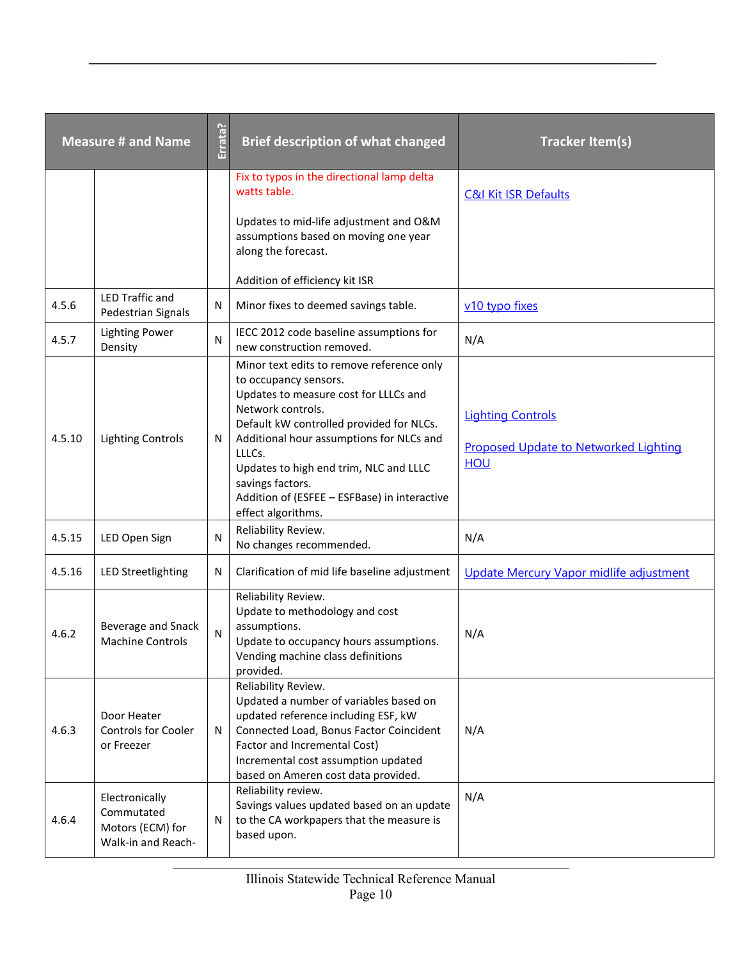| <b>Measure # and Name</b> |                                                                        | Errata?      | <b>Brief description of what changed</b>                                                                                                                                                                                                                                                                                                                               | <b>Tracker Item(s)</b>                                                          |
|---------------------------|------------------------------------------------------------------------|--------------|------------------------------------------------------------------------------------------------------------------------------------------------------------------------------------------------------------------------------------------------------------------------------------------------------------------------------------------------------------------------|---------------------------------------------------------------------------------|
|                           |                                                                        |              | Fix to typos in the directional lamp delta<br>watts table.                                                                                                                                                                                                                                                                                                             | <b>C&amp;I Kit ISR Defaults</b>                                                 |
|                           |                                                                        |              | Updates to mid-life adjustment and O&M<br>assumptions based on moving one year<br>along the forecast.                                                                                                                                                                                                                                                                  |                                                                                 |
|                           |                                                                        |              | Addition of efficiency kit ISR                                                                                                                                                                                                                                                                                                                                         |                                                                                 |
| 4.5.6                     | <b>LED Traffic and</b><br>Pedestrian Signals                           | N            | Minor fixes to deemed savings table.                                                                                                                                                                                                                                                                                                                                   | v10 typo fixes                                                                  |
| 4.5.7                     | <b>Lighting Power</b><br>Density                                       | N            | IECC 2012 code baseline assumptions for<br>new construction removed.                                                                                                                                                                                                                                                                                                   | N/A                                                                             |
| 4.5.10                    | <b>Lighting Controls</b>                                               | N            | Minor text edits to remove reference only<br>to occupancy sensors.<br>Updates to measure cost for LLLCs and<br>Network controls.<br>Default kW controlled provided for NLCs.<br>Additional hour assumptions for NLCs and<br>LLLCs.<br>Updates to high end trim, NLC and LLLC<br>savings factors.<br>Addition of (ESFEE - ESFBase) in interactive<br>effect algorithms. | <b>Lighting Controls</b><br><b>Proposed Update to Networked Lighting</b><br>HOU |
| 4.5.15                    | LED Open Sign                                                          | $\mathsf{N}$ | Reliability Review.<br>No changes recommended.                                                                                                                                                                                                                                                                                                                         | N/A                                                                             |
| 4.5.16                    | <b>LED Streetlighting</b>                                              | N            | Clarification of mid life baseline adjustment                                                                                                                                                                                                                                                                                                                          | Update Mercury Vapor midlife adjustment                                         |
| 4.6.2                     | Beverage and Snack<br><b>Machine Controls</b>                          | N            | Reliability Review.<br>Update to methodology and cost<br>assumptions.<br>Update to occupancy hours assumptions.<br>Vending machine class definitions<br>provided.                                                                                                                                                                                                      | N/A                                                                             |
| 4.6.3                     | Door Heater<br><b>Controls for Cooler</b><br>or Freezer                | N            | Reliability Review.<br>Updated a number of variables based on<br>updated reference including ESF, kW<br>Connected Load, Bonus Factor Coincident<br>Factor and Incremental Cost)<br>Incremental cost assumption updated<br>based on Ameren cost data provided.                                                                                                          | N/A                                                                             |
| 4.6.4                     | Electronically<br>Commutated<br>Motors (ECM) for<br>Walk-in and Reach- | N            | Reliability review.<br>Savings values updated based on an update<br>to the CA workpapers that the measure is<br>based upon.                                                                                                                                                                                                                                            | N/A                                                                             |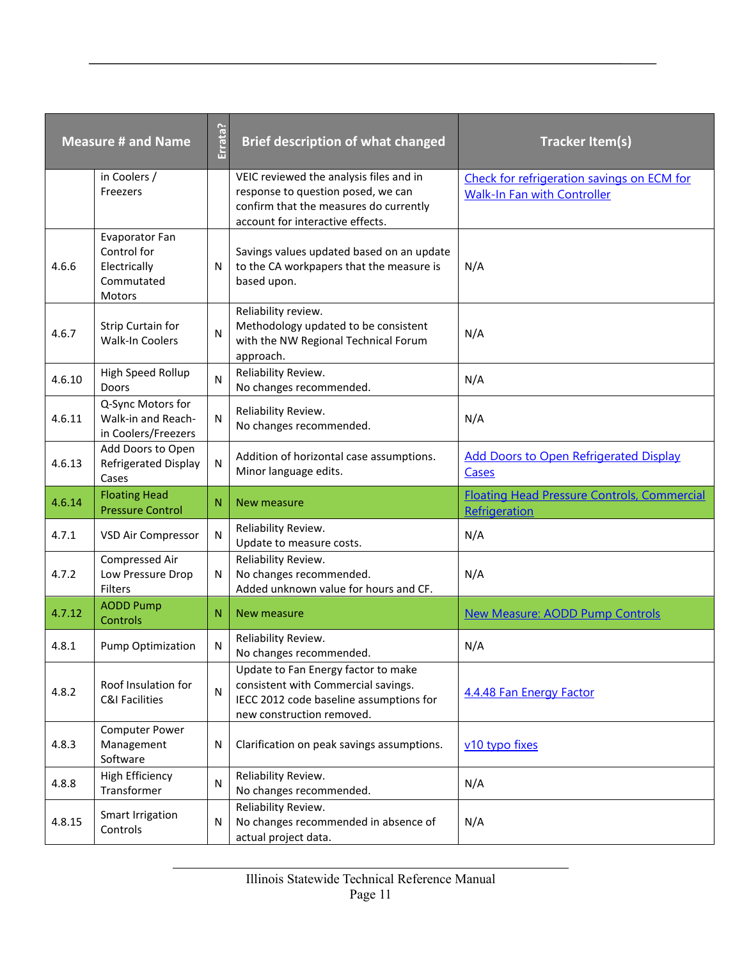|        | <b>Measure # and Name</b>                                             | Errata?        | <b>Brief description of what changed</b>                                                                                                                    | <b>Tracker Item(s)</b>                                                           |
|--------|-----------------------------------------------------------------------|----------------|-------------------------------------------------------------------------------------------------------------------------------------------------------------|----------------------------------------------------------------------------------|
|        | in Coolers /<br>Freezers                                              |                | VEIC reviewed the analysis files and in<br>response to question posed, we can<br>confirm that the measures do currently<br>account for interactive effects. | Check for refrigeration savings on ECM for<br><b>Walk-In Fan with Controller</b> |
| 4.6.6  | Evaporator Fan<br>Control for<br>Electrically<br>Commutated<br>Motors | $\mathsf{N}$   | Savings values updated based on an update<br>to the CA workpapers that the measure is<br>based upon.                                                        | N/A                                                                              |
| 4.6.7  | Strip Curtain for<br>Walk-In Coolers                                  | N              | Reliability review.<br>Methodology updated to be consistent<br>with the NW Regional Technical Forum<br>approach.                                            | N/A                                                                              |
| 4.6.10 | High Speed Rollup<br>Doors                                            | $\mathsf{N}$   | Reliability Review.<br>No changes recommended.                                                                                                              | N/A                                                                              |
| 4.6.11 | Q-Sync Motors for<br>Walk-in and Reach-<br>in Coolers/Freezers        | N              | Reliability Review.<br>No changes recommended.                                                                                                              | N/A                                                                              |
| 4.6.13 | Add Doors to Open<br><b>Refrigerated Display</b><br>Cases             | $\mathsf{N}$   | Addition of horizontal case assumptions.<br>Minor language edits.                                                                                           | <b>Add Doors to Open Refrigerated Display</b><br>Cases                           |
|        |                                                                       |                |                                                                                                                                                             |                                                                                  |
| 4.6.14 | <b>Floating Head</b><br><b>Pressure Control</b>                       | N              | New measure                                                                                                                                                 | <b>Floating Head Pressure Controls, Commercial</b><br>Refrigeration              |
| 4.7.1  | VSD Air Compressor                                                    | N              | Reliability Review.<br>Update to measure costs.                                                                                                             | N/A                                                                              |
| 4.7.2  | Compressed Air<br>Low Pressure Drop<br>Filters                        | N              | Reliability Review.<br>No changes recommended.<br>Added unknown value for hours and CF.                                                                     | N/A                                                                              |
| 4.7.12 | <b>AODD Pump</b><br>Controls                                          | N              | New measure                                                                                                                                                 | <b>New Measure: AODD Pump Controls</b>                                           |
| 4.8.1  | Pump Optimization                                                     | ${\sf N}$      | Reliability Review.<br>No changes recommended.                                                                                                              | N/A                                                                              |
| 4.8.2  | Roof Insulation for<br><b>C&amp;I Facilities</b>                      | $\overline{N}$ | Update to Fan Energy factor to make<br>consistent with Commercial savings.<br>IECC 2012 code baseline assumptions for<br>new construction removed.          | 4.4.48 Fan Energy Factor                                                         |
| 4.8.3  | Computer Power<br>Management<br>Software                              | N              | Clarification on peak savings assumptions.                                                                                                                  | v10 typo fixes                                                                   |
| 4.8.8  | <b>High Efficiency</b><br>Transformer                                 | ${\sf N}$      | Reliability Review.<br>No changes recommended.                                                                                                              | N/A                                                                              |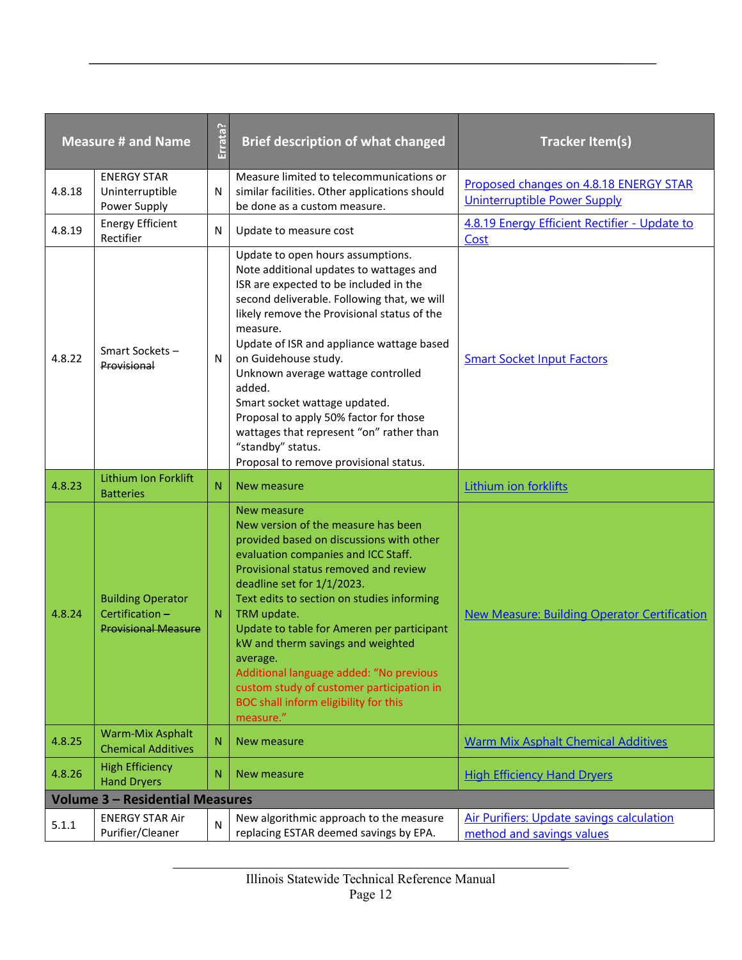| <b>Measure # and Name</b> |                                                                          | Errata?        | <b>Brief description of what changed</b>                                                                                                                                                                                                                                                                                                                                                                                                                                                                                                    | <b>Tracker Item(s)</b>                                                        |
|---------------------------|--------------------------------------------------------------------------|----------------|---------------------------------------------------------------------------------------------------------------------------------------------------------------------------------------------------------------------------------------------------------------------------------------------------------------------------------------------------------------------------------------------------------------------------------------------------------------------------------------------------------------------------------------------|-------------------------------------------------------------------------------|
| 4.8.18                    | <b>ENERGY STAR</b><br>Uninterruptible<br>Power Supply                    | N              | Measure limited to telecommunications or<br>similar facilities. Other applications should<br>be done as a custom measure.                                                                                                                                                                                                                                                                                                                                                                                                                   | Proposed changes on 4.8.18 ENERGY STAR<br><b>Uninterruptible Power Supply</b> |
| 4.8.19                    | <b>Energy Efficient</b><br>Rectifier                                     | N              | Update to measure cost                                                                                                                                                                                                                                                                                                                                                                                                                                                                                                                      | 4.8.19 Energy Efficient Rectifier - Update to<br>Cost                         |
| 4.8.22                    | Smart Sockets-<br>Provisional                                            | N              | Update to open hours assumptions.<br>Note additional updates to wattages and<br>ISR are expected to be included in the<br>second deliverable. Following that, we will<br>likely remove the Provisional status of the<br>measure.<br>Update of ISR and appliance wattage based<br>on Guidehouse study.<br>Unknown average wattage controlled<br>added.<br>Smart socket wattage updated.<br>Proposal to apply 50% factor for those<br>wattages that represent "on" rather than<br>"standby" status.<br>Proposal to remove provisional status. | <b>Smart Socket Input Factors</b>                                             |
| 4.8.23                    | Lithium Ion Forklift<br><b>Batteries</b>                                 | N              | New measure                                                                                                                                                                                                                                                                                                                                                                                                                                                                                                                                 | Lithium ion forklifts                                                         |
| 4.8.24                    | <b>Building Operator</b><br>Certification-<br><b>Provisional Measure</b> | N              | New measure<br>New version of the measure has been<br>provided based on discussions with other<br>evaluation companies and ICC Staff.<br>Provisional status removed and review<br>deadline set for 1/1/2023.<br>Text edits to section on studies informing<br>TRM update.<br>Update to table for Ameren per participant<br>kW and therm savings and weighted<br>average.<br>Additional language added: "No previous<br>custom study of customer participation in<br>BOC shall inform eligibility for this<br>measure."                      | <b>New Measure: Building Operator Certification</b>                           |
| 4.8.25                    | <b>Warm-Mix Asphalt</b><br><b>Chemical Additives</b>                     | N              | New measure                                                                                                                                                                                                                                                                                                                                                                                                                                                                                                                                 | <b>Warm Mix Asphalt Chemical Additives</b>                                    |
| 4.8.26                    | <b>High Efficiency</b><br><b>Hand Dryers</b>                             | N              | New measure                                                                                                                                                                                                                                                                                                                                                                                                                                                                                                                                 | <b>High Efficiency Hand Dryers</b>                                            |
|                           | <b>Volume 3 - Residential Measures</b>                                   |                |                                                                                                                                                                                                                                                                                                                                                                                                                                                                                                                                             |                                                                               |
| 5.1.1                     | <b>ENERGY STAR Air</b><br>Purifier/Cleaner                               | $\overline{N}$ | New algorithmic approach to the measure<br>replacing ESTAR deemed savings by EPA.                                                                                                                                                                                                                                                                                                                                                                                                                                                           | <b>Air Purifiers: Update savings calculation</b><br>method and savings values |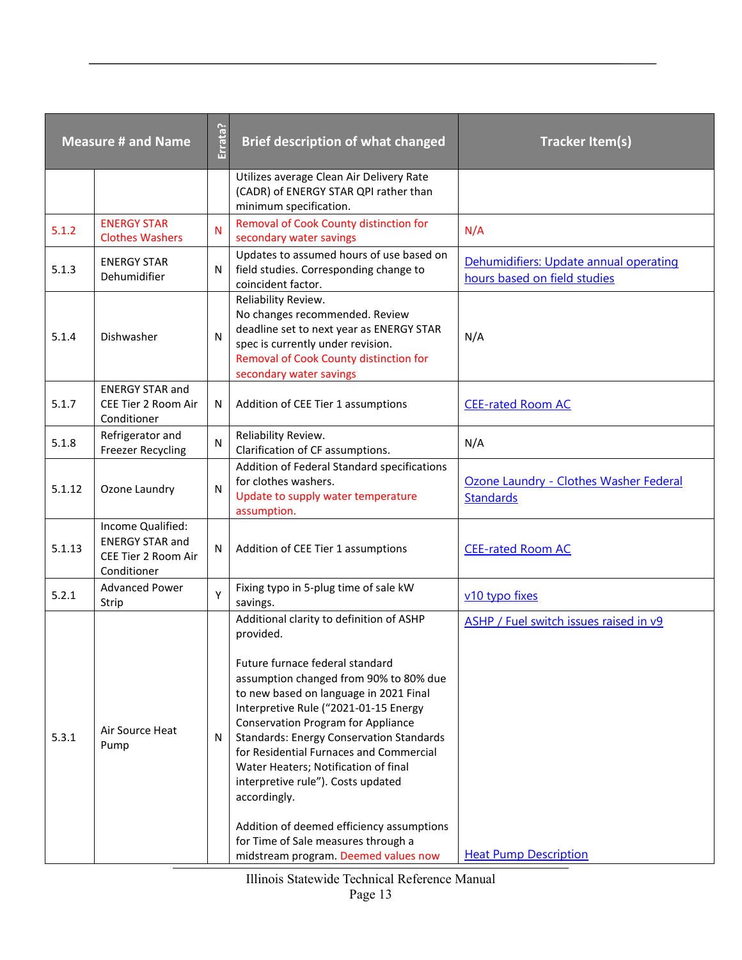| <b>Measure # and Name</b> |                                                                                   | Errata?      | <b>Brief description of what changed</b>                                                                                                                                                                                                                                                                                 | <b>Tracker Item(s)</b>                                                 |
|---------------------------|-----------------------------------------------------------------------------------|--------------|--------------------------------------------------------------------------------------------------------------------------------------------------------------------------------------------------------------------------------------------------------------------------------------------------------------------------|------------------------------------------------------------------------|
|                           |                                                                                   |              | Utilizes average Clean Air Delivery Rate<br>(CADR) of ENERGY STAR QPI rather than<br>minimum specification.                                                                                                                                                                                                              |                                                                        |
| 5.1.2                     | <b>ENERGY STAR</b><br><b>Clothes Washers</b>                                      | N            | Removal of Cook County distinction for<br>secondary water savings                                                                                                                                                                                                                                                        | N/A                                                                    |
| 5.1.3                     | <b>ENERGY STAR</b><br>Dehumidifier                                                | N            | Updates to assumed hours of use based on<br>field studies. Corresponding change to<br>coincident factor.                                                                                                                                                                                                                 | Dehumidifiers: Update annual operating<br>hours based on field studies |
| 5.1.4                     | Dishwasher                                                                        | $\mathsf{N}$ | Reliability Review.<br>No changes recommended. Review<br>deadline set to next year as ENERGY STAR<br>spec is currently under revision.<br>Removal of Cook County distinction for<br>secondary water savings                                                                                                              | N/A                                                                    |
| 5.1.7                     | <b>ENERGY STAR and</b><br>CEE Tier 2 Room Air<br>Conditioner                      | N            | Addition of CEE Tier 1 assumptions                                                                                                                                                                                                                                                                                       | <b>CEE-rated Room AC</b>                                               |
| 5.1.8                     | Refrigerator and<br><b>Freezer Recycling</b>                                      | $\mathsf{N}$ | Reliability Review.<br>Clarification of CF assumptions.                                                                                                                                                                                                                                                                  | N/A                                                                    |
| 5.1.12                    | Ozone Laundry                                                                     | $\mathsf{N}$ | Addition of Federal Standard specifications<br>for clothes washers.<br>Update to supply water temperature<br>assumption.                                                                                                                                                                                                 | Ozone Laundry - Clothes Washer Federal<br><b>Standards</b>             |
| 5.1.13                    | Income Qualified:<br><b>ENERGY STAR and</b><br>CEE Tier 2 Room Air<br>Conditioner | N            | Addition of CEE Tier 1 assumptions                                                                                                                                                                                                                                                                                       | <b>CEE-rated Room AC</b>                                               |
| 5.2.1                     | <b>Advanced Power</b><br>Strip                                                    | Y            | Fixing typo in 5-plug time of sale kW<br>savings.                                                                                                                                                                                                                                                                        | v10 typo fixes                                                         |
|                           |                                                                                   |              | Additional clarity to definition of ASHP<br>provided.<br>Future furnace federal standard<br>assumption changed from 90% to 80% due                                                                                                                                                                                       | ASHP / Fuel switch issues raised in v9                                 |
| 5.3.1                     | Air Source Heat<br>Pump                                                           | N            | to new based on language in 2021 Final<br>Interpretive Rule ("2021-01-15 Energy<br><b>Conservation Program for Appliance</b><br><b>Standards: Energy Conservation Standards</b><br>for Residential Furnaces and Commercial<br>Water Heaters; Notification of final<br>interpretive rule"). Costs updated<br>accordingly. |                                                                        |
|                           |                                                                                   |              | Addition of deemed efficiency assumptions<br>for Time of Sale measures through a<br>midstream program. Deemed values now                                                                                                                                                                                                 | <b>Heat Pump Description</b>                                           |

Illinois Statewide Technical Reference Manual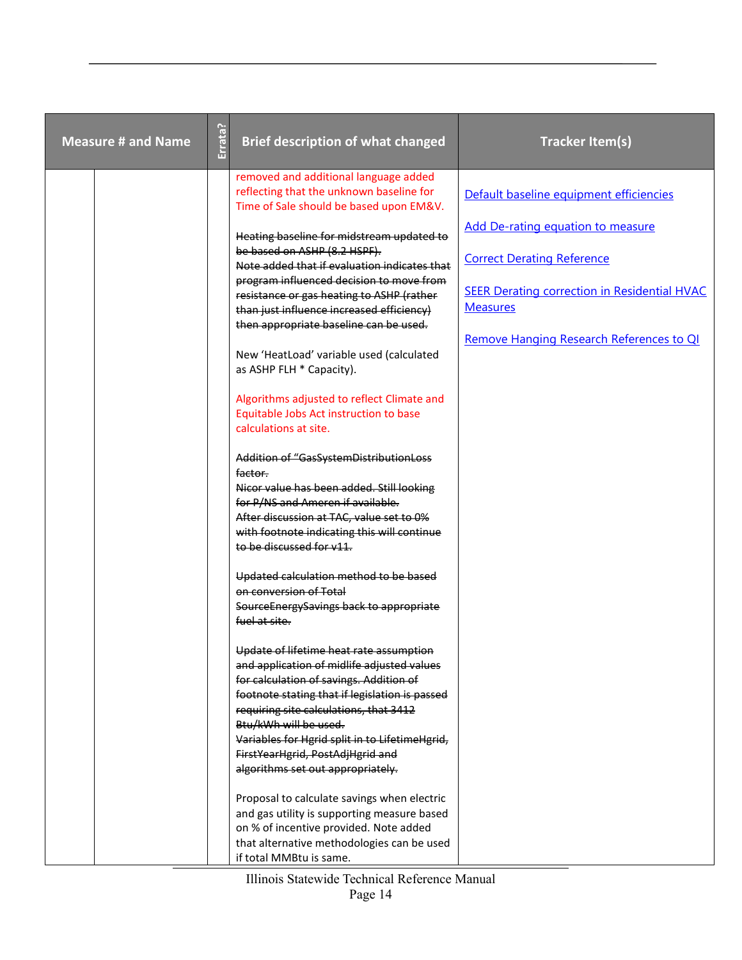| <b>Measure # and Name</b> | Errata? | <b>Brief description of what changed</b>                                                                                                                                                                                                                                                                                                                                                                                                            | <b>Tracker Item(s)</b>                                                                                                                                                                       |
|---------------------------|---------|-----------------------------------------------------------------------------------------------------------------------------------------------------------------------------------------------------------------------------------------------------------------------------------------------------------------------------------------------------------------------------------------------------------------------------------------------------|----------------------------------------------------------------------------------------------------------------------------------------------------------------------------------------------|
|                           |         | removed and additional language added<br>reflecting that the unknown baseline for<br>Time of Sale should be based upon EM&V.                                                                                                                                                                                                                                                                                                                        | Default baseline equipment efficiencies                                                                                                                                                      |
|                           |         | Heating baseline for midstream updated to<br>be based on ASHP (8.2 HSPF).<br>Note added that if evaluation indicates that<br>program influenced decision to move from<br>resistance or gas heating to ASHP (rather<br>than just influence increased efficiency)<br>then appropriate baseline can be used.                                                                                                                                           | Add De-rating equation to measure<br><b>Correct Derating Reference</b><br><b>SEER Derating correction in Residential HVAC</b><br><b>Measures</b><br>Remove Hanging Research References to QI |
|                           |         | New 'HeatLoad' variable used (calculated<br>as ASHP FLH * Capacity).<br>Algorithms adjusted to reflect Climate and<br>Equitable Jobs Act instruction to base<br>calculations at site.<br>Addition of "GasSystemDistributionLoss<br>factor.<br>Nicor value has been added. Still looking<br>for P/NS and Ameren if available.<br>After discussion at TAC, value set to 0%<br>with footnote indicating this will continue<br>to be discussed for v11. |                                                                                                                                                                                              |
|                           |         | Updated calculation method to be based<br>on conversion of Total<br>SourceEnergySavings back to appropriate<br>fuel at site.                                                                                                                                                                                                                                                                                                                        |                                                                                                                                                                                              |
|                           |         | Update of lifetime heat rate assumption<br>and application of midlife adjusted values<br>for calculation of savings. Addition of<br>footnote stating that if legislation is passed<br>requiring site calculations, that 3412<br>Btu/kWh will be used.<br>Variables for Hgrid split in to LifetimeHgrid,<br>FirstYearHgrid, PostAdjHgrid and<br>algorithms set out appropriately.                                                                    |                                                                                                                                                                                              |
|                           |         | Proposal to calculate savings when electric<br>and gas utility is supporting measure based<br>on % of incentive provided. Note added<br>that alternative methodologies can be used<br>if total MMBtu is same.                                                                                                                                                                                                                                       |                                                                                                                                                                                              |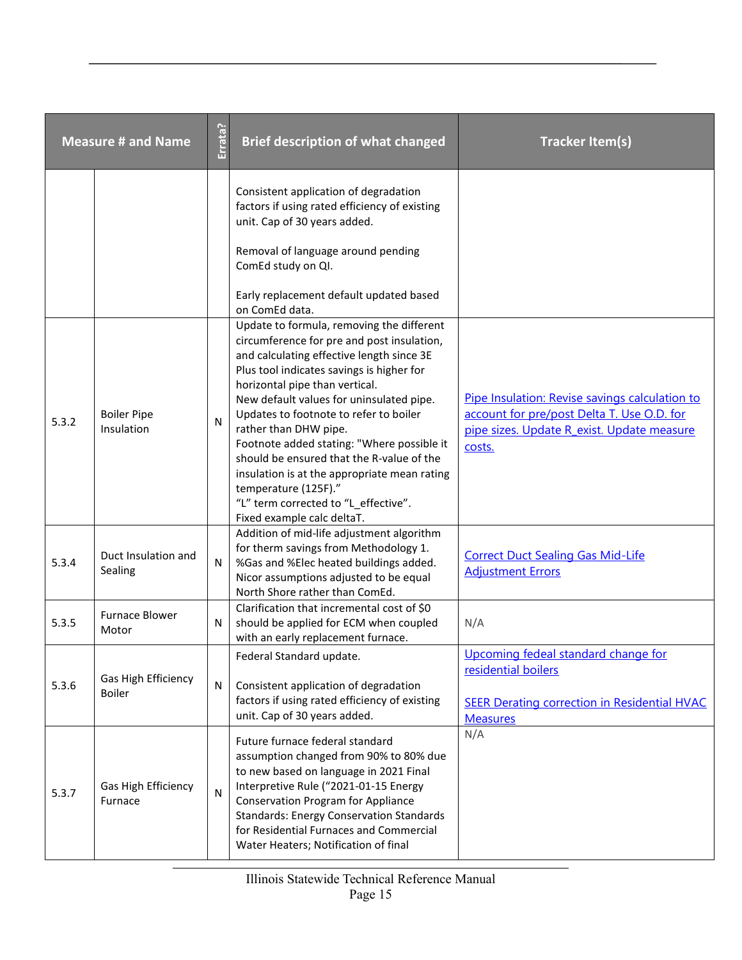|       | <b>Measure # and Name</b>            | Errata?   | <b>Brief description of what changed</b>                                                                                                                                                                                                                                                                                                                                                                                                                                                                                                                                                      | <b>Tracker Item(s)</b>                                                                                                                               |
|-------|--------------------------------------|-----------|-----------------------------------------------------------------------------------------------------------------------------------------------------------------------------------------------------------------------------------------------------------------------------------------------------------------------------------------------------------------------------------------------------------------------------------------------------------------------------------------------------------------------------------------------------------------------------------------------|------------------------------------------------------------------------------------------------------------------------------------------------------|
|       |                                      |           | Consistent application of degradation<br>factors if using rated efficiency of existing<br>unit. Cap of 30 years added.<br>Removal of language around pending<br>ComEd study on QI.<br>Early replacement default updated based                                                                                                                                                                                                                                                                                                                                                                 |                                                                                                                                                      |
| 5.3.2 | <b>Boiler Pipe</b><br>Insulation     | N         | on ComEd data.<br>Update to formula, removing the different<br>circumference for pre and post insulation,<br>and calculating effective length since 3E<br>Plus tool indicates savings is higher for<br>horizontal pipe than vertical.<br>New default values for uninsulated pipe.<br>Updates to footnote to refer to boiler<br>rather than DHW pipe.<br>Footnote added stating: "Where possible it<br>should be ensured that the R-value of the<br>insulation is at the appropriate mean rating<br>temperature (125F)."<br>"L" term corrected to "L effective".<br>Fixed example calc deltaT. | Pipe Insulation: Revise savings calculation to<br>account for pre/post Delta T. Use O.D. for<br>pipe sizes. Update R exist. Update measure<br>costs. |
| 5.3.4 | Duct Insulation and<br>Sealing       | N         | Addition of mid-life adjustment algorithm<br>for therm savings from Methodology 1.<br>%Gas and %Elec heated buildings added.<br>Nicor assumptions adjusted to be equal<br>North Shore rather than ComEd.                                                                                                                                                                                                                                                                                                                                                                                      | <b>Correct Duct Sealing Gas Mid-Life</b><br><b>Adjustment Errors</b>                                                                                 |
| 5.3.5 | <b>Furnace Blower</b><br>Motor       | Ν         | Clarification that incremental cost of \$0<br>should be applied for ECM when coupled<br>with an early replacement furnace.                                                                                                                                                                                                                                                                                                                                                                                                                                                                    | N/A                                                                                                                                                  |
| 5.3.6 | Gas High Efficiency<br><b>Boiler</b> | N         | Federal Standard update.<br>Consistent application of degradation<br>factors if using rated efficiency of existing<br>unit. Cap of 30 years added.                                                                                                                                                                                                                                                                                                                                                                                                                                            | Upcoming fedeal standard change for<br>residential boilers<br><b>SEER Derating correction in Residential HVAC</b><br><b>Measures</b>                 |
| 5.3.7 | Gas High Efficiency<br>Furnace       | ${\sf N}$ | Future furnace federal standard<br>assumption changed from 90% to 80% due<br>to new based on language in 2021 Final<br>Interpretive Rule ("2021-01-15 Energy<br><b>Conservation Program for Appliance</b><br><b>Standards: Energy Conservation Standards</b><br>for Residential Furnaces and Commercial<br>Water Heaters; Notification of final                                                                                                                                                                                                                                               | N/A                                                                                                                                                  |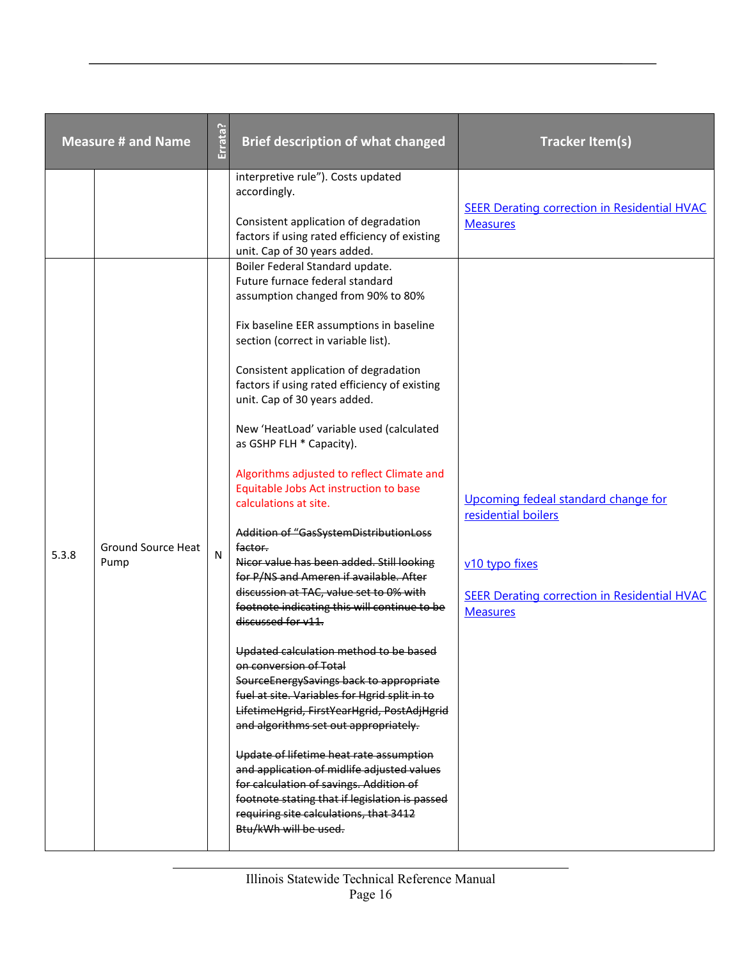|       | <b>Measure # and Name</b>         | Errata?   | <b>Brief description of what changed</b>                                                                                                                                                                                                                                                                                                                                                                                                                                                                                                                                                                                                                                                                                                                                                                                                                                                                              | <b>Tracker Item(s)</b>                                                                                                                                 |
|-------|-----------------------------------|-----------|-----------------------------------------------------------------------------------------------------------------------------------------------------------------------------------------------------------------------------------------------------------------------------------------------------------------------------------------------------------------------------------------------------------------------------------------------------------------------------------------------------------------------------------------------------------------------------------------------------------------------------------------------------------------------------------------------------------------------------------------------------------------------------------------------------------------------------------------------------------------------------------------------------------------------|--------------------------------------------------------------------------------------------------------------------------------------------------------|
|       |                                   |           | interpretive rule"). Costs updated<br>accordingly.<br>Consistent application of degradation<br>factors if using rated efficiency of existing<br>unit. Cap of 30 years added.<br>Boiler Federal Standard update.<br>Future furnace federal standard                                                                                                                                                                                                                                                                                                                                                                                                                                                                                                                                                                                                                                                                    | <b>SEER Derating correction in Residential HVAC</b><br><b>Measures</b>                                                                                 |
| 5.3.8 | <b>Ground Source Heat</b><br>Pump | ${\sf N}$ | assumption changed from 90% to 80%<br>Fix baseline EER assumptions in baseline<br>section (correct in variable list).<br>Consistent application of degradation<br>factors if using rated efficiency of existing<br>unit. Cap of 30 years added.<br>New 'HeatLoad' variable used (calculated<br>as GSHP FLH * Capacity).<br>Algorithms adjusted to reflect Climate and<br>Equitable Jobs Act instruction to base<br>calculations at site.<br>Addition of "GasSystemDistributionLoss<br>factor.<br>Nicor value has been added. Still looking<br>for P/NS and Ameren if available. After<br>discussion at TAC, value set to 0% with<br>footnote indicating this will continue to be<br>discussed for v11.<br>Updated calculation method to be based<br>on conversion of Total<br>SourceEnergySavings back to appropriate<br>fuel at site. Variables for Hgrid split in to<br>LifetimeHgrid, FirstYearHgrid, PostAdjHgrid | Upcoming fedeal standard change for<br>residential boilers<br>v10 typo fixes<br><b>SEER Derating correction in Residential HVAC</b><br><b>Measures</b> |
|       |                                   |           | and algorithms set out appropriately.<br>Update of lifetime heat rate assumption<br>and application of midlife adjusted values<br>for calculation of savings. Addition of<br>footnote stating that if legislation is passed<br>requiring site calculations, that 3412<br>Btu/kWh will be used.                                                                                                                                                                                                                                                                                                                                                                                                                                                                                                                                                                                                                        |                                                                                                                                                        |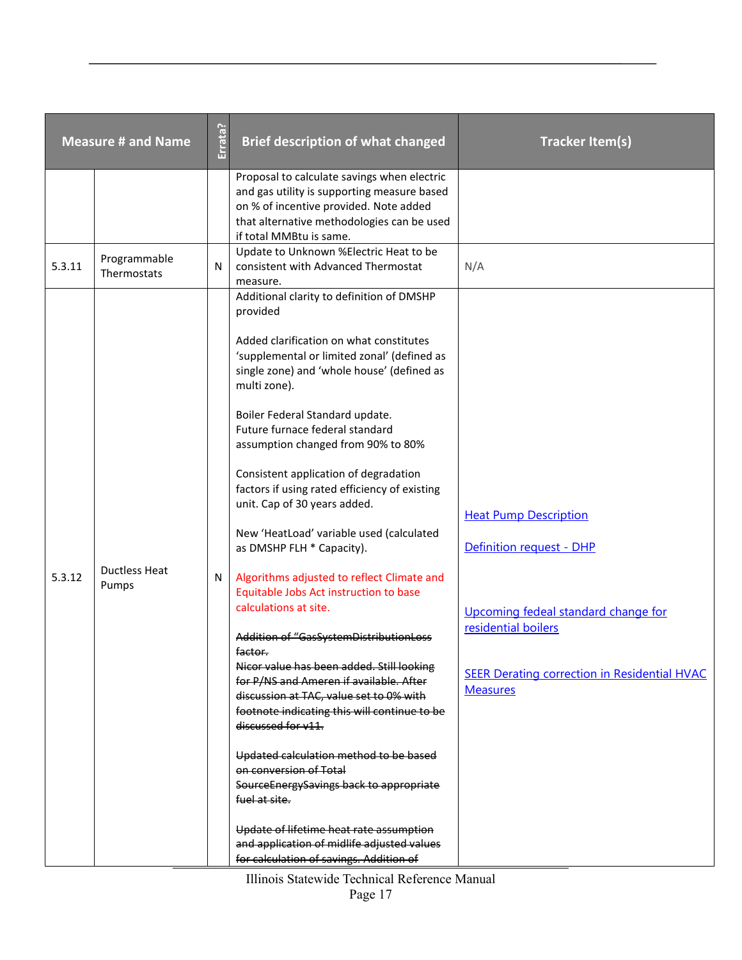|        | <b>Measure # and Name</b>     | Errata? | <b>Brief description of what changed</b>                                                                                                                                                                                                                                                                                                                                                                                                                                                                                                                                                                                                                                                                                                                                                                                                                                                                                                                                                                                                                                                                                             | <b>Tracker Item(s)</b>                                                                                                                                                                           |
|--------|-------------------------------|---------|--------------------------------------------------------------------------------------------------------------------------------------------------------------------------------------------------------------------------------------------------------------------------------------------------------------------------------------------------------------------------------------------------------------------------------------------------------------------------------------------------------------------------------------------------------------------------------------------------------------------------------------------------------------------------------------------------------------------------------------------------------------------------------------------------------------------------------------------------------------------------------------------------------------------------------------------------------------------------------------------------------------------------------------------------------------------------------------------------------------------------------------|--------------------------------------------------------------------------------------------------------------------------------------------------------------------------------------------------|
|        |                               |         | Proposal to calculate savings when electric<br>and gas utility is supporting measure based<br>on % of incentive provided. Note added<br>that alternative methodologies can be used<br>if total MMBtu is same.                                                                                                                                                                                                                                                                                                                                                                                                                                                                                                                                                                                                                                                                                                                                                                                                                                                                                                                        |                                                                                                                                                                                                  |
| 5.3.11 | Programmable<br>Thermostats   | N       | Update to Unknown %Electric Heat to be<br>consistent with Advanced Thermostat<br>measure.                                                                                                                                                                                                                                                                                                                                                                                                                                                                                                                                                                                                                                                                                                                                                                                                                                                                                                                                                                                                                                            | N/A                                                                                                                                                                                              |
| 5.3.12 | <b>Ductless Heat</b><br>Pumps | N       | Additional clarity to definition of DMSHP<br>provided<br>Added clarification on what constitutes<br>'supplemental or limited zonal' (defined as<br>single zone) and 'whole house' (defined as<br>multi zone).<br>Boiler Federal Standard update.<br>Future furnace federal standard<br>assumption changed from 90% to 80%<br>Consistent application of degradation<br>factors if using rated efficiency of existing<br>unit. Cap of 30 years added.<br>New 'HeatLoad' variable used (calculated<br>as DMSHP FLH * Capacity).<br>Algorithms adjusted to reflect Climate and<br>Equitable Jobs Act instruction to base<br>calculations at site.<br>Addition of "GasSystemDistributionLoss<br>factor.<br>Nicor value has been added. Still looking<br>for P/NS and Ameren if available. After<br>discussion at TAC, value set to 0% with<br>footnote indicating this will continue to be<br>discussed for v11.<br>Updated calculation method to be based<br>on conversion of Total<br>SourceEnergySavings back to appropriate<br>fuel at site.<br>Update of lifetime heat rate assumption<br>and application of midlife adjusted values | <b>Heat Pump Description</b><br>Definition request - DHP<br>Upcoming fedeal standard change for<br>residential boilers<br><b>SEER Derating correction in Residential HVAC</b><br><b>Measures</b> |
|        |                               |         | for calculation of savings. Addition of                                                                                                                                                                                                                                                                                                                                                                                                                                                                                                                                                                                                                                                                                                                                                                                                                                                                                                                                                                                                                                                                                              |                                                                                                                                                                                                  |

Illinois Statewide Technical Reference Manual Page 17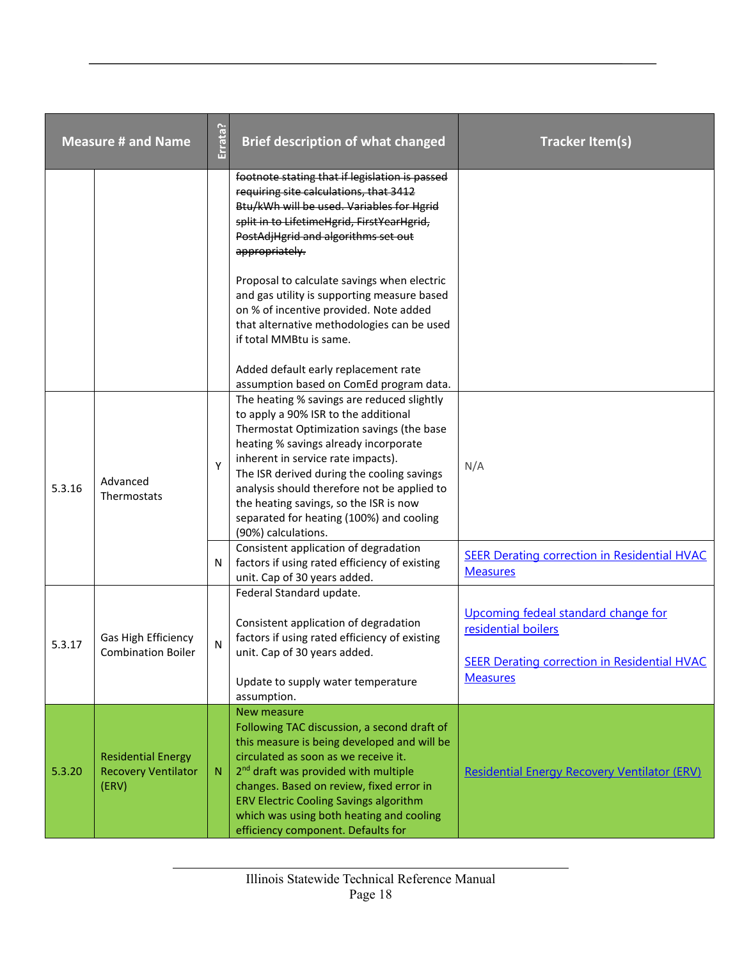|        | <b>Measure # and Name</b>                                        | Errata? | <b>Brief description of what changed</b>                                                                                                                                                                                                                                                                                                                                                                                 | <b>Tracker Item(s)</b>                                                                                                               |
|--------|------------------------------------------------------------------|---------|--------------------------------------------------------------------------------------------------------------------------------------------------------------------------------------------------------------------------------------------------------------------------------------------------------------------------------------------------------------------------------------------------------------------------|--------------------------------------------------------------------------------------------------------------------------------------|
|        |                                                                  |         | footnote stating that if legislation is passed<br>requiring site calculations, that 3412<br>Btu/kWh will be used. Variables for Hgrid<br>split in to LifetimeHgrid, FirstYearHgrid,<br>PostAdjHgrid and algorithms set out<br>appropriately.                                                                                                                                                                             |                                                                                                                                      |
|        |                                                                  |         | Proposal to calculate savings when electric<br>and gas utility is supporting measure based<br>on % of incentive provided. Note added<br>that alternative methodologies can be used<br>if total MMBtu is same.                                                                                                                                                                                                            |                                                                                                                                      |
|        |                                                                  |         | Added default early replacement rate<br>assumption based on ComEd program data.                                                                                                                                                                                                                                                                                                                                          |                                                                                                                                      |
| 5.3.16 | Advanced<br>Thermostats                                          | Y       | The heating % savings are reduced slightly<br>to apply a 90% ISR to the additional<br>Thermostat Optimization savings (the base<br>heating % savings already incorporate<br>inherent in service rate impacts).<br>The ISR derived during the cooling savings<br>analysis should therefore not be applied to<br>the heating savings, so the ISR is now<br>separated for heating (100%) and cooling<br>(90%) calculations. | N/A                                                                                                                                  |
|        |                                                                  | N       | Consistent application of degradation<br>factors if using rated efficiency of existing<br>unit. Cap of 30 years added.                                                                                                                                                                                                                                                                                                   | <b>SEER Derating correction in Residential HVAC</b><br><b>Measures</b>                                                               |
| 5.3.17 | Gas High Efficiency<br><b>Combination Boiler</b>                 | N       | Federal Standard update.<br>Consistent application of degradation<br>factors if using rated efficiency of existing<br>unit. Cap of 30 years added.<br>Update to supply water temperature<br>assumption.                                                                                                                                                                                                                  | Upcoming fedeal standard change for<br>residential boilers<br><b>SEER Derating correction in Residential HVAC</b><br><b>Measures</b> |
| 5.3.20 | <b>Residential Energy</b><br><b>Recovery Ventilator</b><br>(ERV) | N       | New measure<br>Following TAC discussion, a second draft of<br>this measure is being developed and will be<br>circulated as soon as we receive it.<br>2 <sup>nd</sup> draft was provided with multiple<br>changes. Based on review, fixed error in<br><b>ERV Electric Cooling Savings algorithm</b><br>which was using both heating and cooling<br>efficiency component. Defaults for                                     | Residential Energy Recovery Ventilator (ERV)                                                                                         |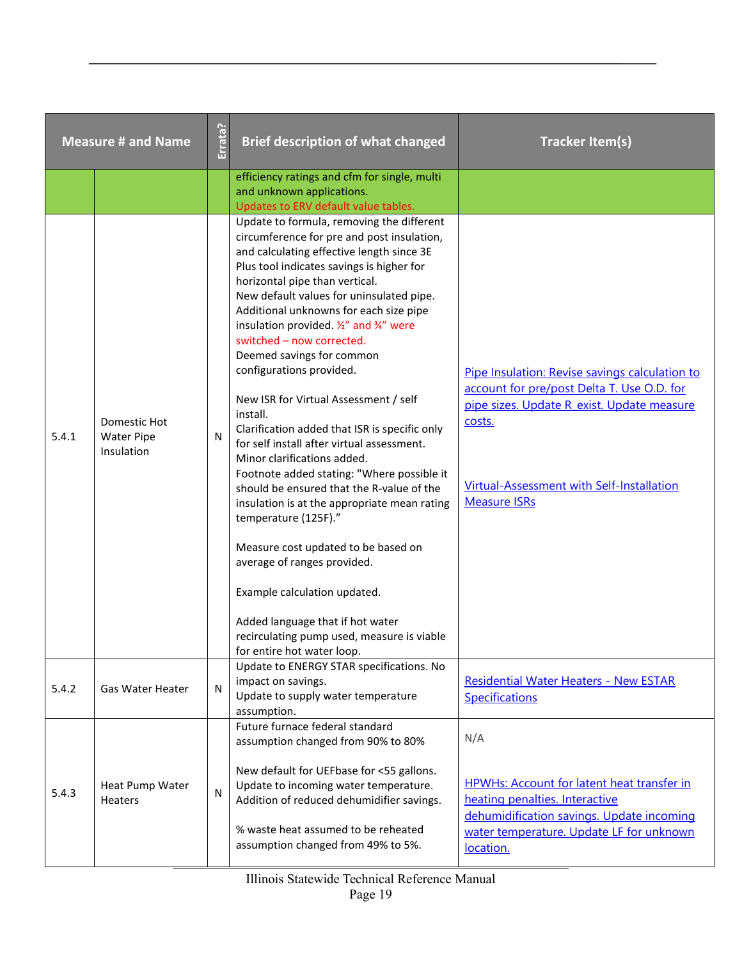|       | <b>Measure # and Name</b>                       | Errata? | <b>Brief description of what changed</b>                                                                                                                                                                                                                                                                                                                                                                                                                                                                                                                                                                                                                                                                                                                                                                                                                                                                                                                                                                               | <b>Tracker Item(s)</b>                                                                                                                                                                                                   |
|-------|-------------------------------------------------|---------|------------------------------------------------------------------------------------------------------------------------------------------------------------------------------------------------------------------------------------------------------------------------------------------------------------------------------------------------------------------------------------------------------------------------------------------------------------------------------------------------------------------------------------------------------------------------------------------------------------------------------------------------------------------------------------------------------------------------------------------------------------------------------------------------------------------------------------------------------------------------------------------------------------------------------------------------------------------------------------------------------------------------|--------------------------------------------------------------------------------------------------------------------------------------------------------------------------------------------------------------------------|
|       |                                                 |         | efficiency ratings and cfm for single, multi<br>and unknown applications.<br>Updates to ERV default value tables.                                                                                                                                                                                                                                                                                                                                                                                                                                                                                                                                                                                                                                                                                                                                                                                                                                                                                                      |                                                                                                                                                                                                                          |
| 5.4.1 | Domestic Hot<br><b>Water Pipe</b><br>Insulation | N       | Update to formula, removing the different<br>circumference for pre and post insulation,<br>and calculating effective length since 3E<br>Plus tool indicates savings is higher for<br>horizontal pipe than vertical.<br>New default values for uninsulated pipe.<br>Additional unknowns for each size pipe<br>insulation provided. 1/2" and 3/4" were<br>switched - now corrected.<br>Deemed savings for common<br>configurations provided.<br>New ISR for Virtual Assessment / self<br>install.<br>Clarification added that ISR is specific only<br>for self install after virtual assessment.<br>Minor clarifications added.<br>Footnote added stating: "Where possible it<br>should be ensured that the R-value of the<br>insulation is at the appropriate mean rating<br>temperature (125F)."<br>Measure cost updated to be based on<br>average of ranges provided.<br>Example calculation updated.<br>Added language that if hot water<br>recirculating pump used, measure is viable<br>for entire hot water loop. | Pipe Insulation: Revise savings calculation to<br>account for pre/post Delta T. Use O.D. for<br>pipe sizes. Update R exist. Update measure<br>costs.<br>Virtual-Assessment with Self-Installation<br><b>Measure ISRs</b> |
| 5.4.2 | Gas Water Heater                                | N       | Update to ENERGY STAR specifications. No<br>impact on savings.<br>Update to supply water temperature<br>assumption.                                                                                                                                                                                                                                                                                                                                                                                                                                                                                                                                                                                                                                                                                                                                                                                                                                                                                                    | <b>Residential Water Heaters - New ESTAR</b><br><b>Specifications</b>                                                                                                                                                    |
| 5.4.3 | Heat Pump Water<br>Heaters                      | N       | Future furnace federal standard<br>assumption changed from 90% to 80%<br>New default for UEFbase for <55 gallons.<br>Update to incoming water temperature.<br>Addition of reduced dehumidifier savings.<br>% waste heat assumed to be reheated<br>assumption changed from 49% to 5%.                                                                                                                                                                                                                                                                                                                                                                                                                                                                                                                                                                                                                                                                                                                                   | N/A<br><b>HPWHs: Account for latent heat transfer in</b><br>heating penalties. Interactive<br>dehumidification savings. Update incoming<br>water temperature. Update LF for unknown<br>location.                         |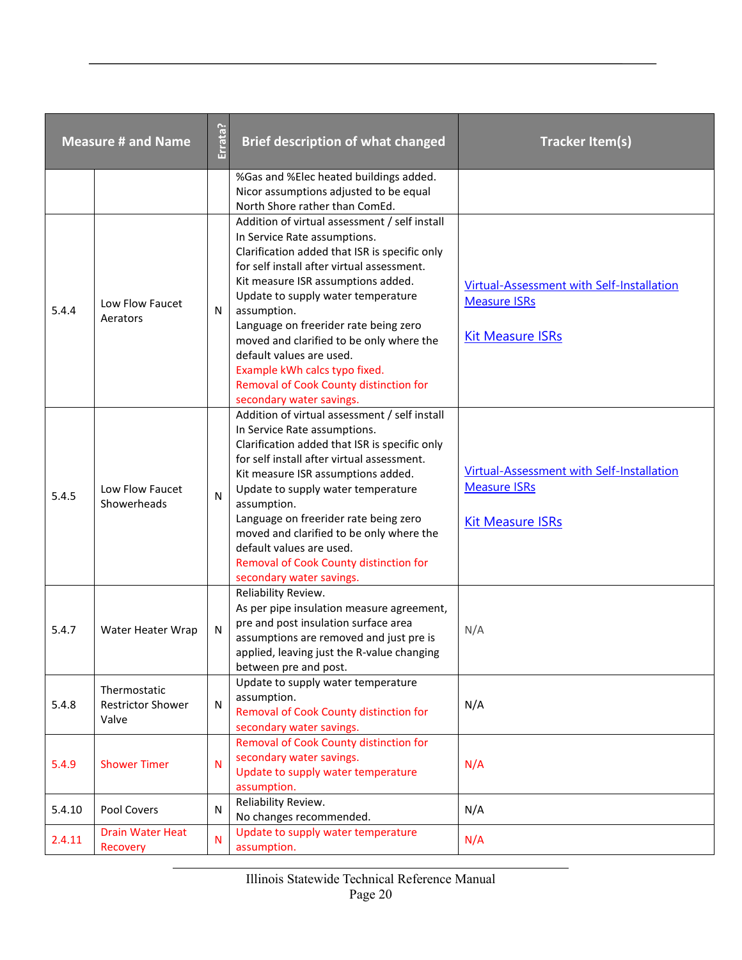| <b>Measure # and Name</b> |                                                   | Errata? | <b>Brief description of what changed</b>                                                                                                                                                                                                                                                                                                                                                                                                                                                        | <b>Tracker Item(s)</b>                                                                      |
|---------------------------|---------------------------------------------------|---------|-------------------------------------------------------------------------------------------------------------------------------------------------------------------------------------------------------------------------------------------------------------------------------------------------------------------------------------------------------------------------------------------------------------------------------------------------------------------------------------------------|---------------------------------------------------------------------------------------------|
|                           |                                                   |         | %Gas and %Elec heated buildings added.<br>Nicor assumptions adjusted to be equal<br>North Shore rather than ComEd.                                                                                                                                                                                                                                                                                                                                                                              |                                                                                             |
| 5.4.4                     | Low Flow Faucet<br>Aerators                       | N       | Addition of virtual assessment / self install<br>In Service Rate assumptions.<br>Clarification added that ISR is specific only<br>for self install after virtual assessment.<br>Kit measure ISR assumptions added.<br>Update to supply water temperature<br>assumption.<br>Language on freerider rate being zero<br>moved and clarified to be only where the<br>default values are used.<br>Example kWh calcs typo fixed.<br>Removal of Cook County distinction for<br>secondary water savings. | Virtual-Assessment with Self-Installation<br><b>Measure ISRs</b><br><b>Kit Measure ISRs</b> |
| 5.4.5                     | Low Flow Faucet<br>Showerheads                    | N       | Addition of virtual assessment / self install<br>In Service Rate assumptions.<br>Clarification added that ISR is specific only<br>for self install after virtual assessment.<br>Kit measure ISR assumptions added.<br>Update to supply water temperature<br>assumption.<br>Language on freerider rate being zero<br>moved and clarified to be only where the<br>default values are used.<br>Removal of Cook County distinction for<br>secondary water savings.                                  | Virtual-Assessment with Self-Installation<br><b>Measure ISRs</b><br><b>Kit Measure ISRs</b> |
| 5.4.7                     | Water Heater Wrap                                 | N       | Reliability Review.<br>As per pipe insulation measure agreement,<br>pre and post insulation surface area<br>assumptions are removed and just pre is<br>applied, leaving just the R-value changing<br>between pre and post.                                                                                                                                                                                                                                                                      | N/A                                                                                         |
| 5.4.8                     | Thermostatic<br><b>Restrictor Shower</b><br>Valve | N       | Update to supply water temperature<br>assumption.<br>Removal of Cook County distinction for<br>secondary water savings.                                                                                                                                                                                                                                                                                                                                                                         | N/A                                                                                         |
| 5.4.9                     | <b>Shower Timer</b>                               | N       | Removal of Cook County distinction for<br>secondary water savings.<br>Update to supply water temperature<br>assumption.                                                                                                                                                                                                                                                                                                                                                                         | N/A                                                                                         |
| 5.4.10                    | Pool Covers                                       | N       | Reliability Review.<br>No changes recommended.                                                                                                                                                                                                                                                                                                                                                                                                                                                  | N/A                                                                                         |
| 2.4.11                    | <b>Drain Water Heat</b><br>Recovery               | N       | Update to supply water temperature<br>assumption.                                                                                                                                                                                                                                                                                                                                                                                                                                               | N/A                                                                                         |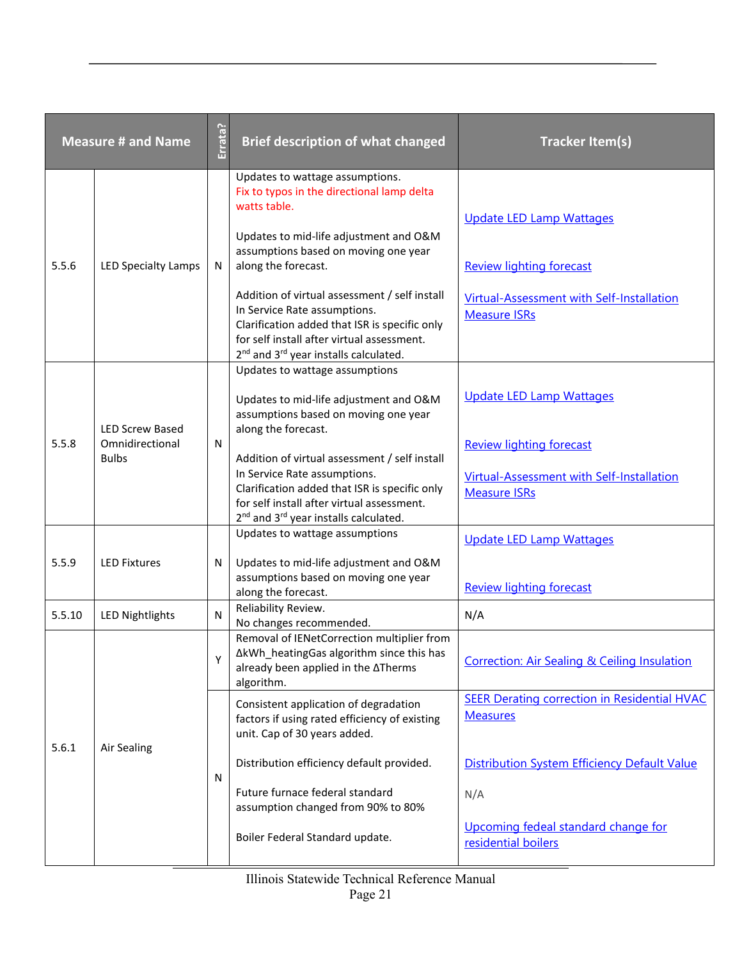|        | <b>Measure # and Name</b>                | Errata?      | <b>Brief description of what changed</b>                                                                                                                                                                                                      | <b>Tracker Item(s)</b>                                                                              |
|--------|------------------------------------------|--------------|-----------------------------------------------------------------------------------------------------------------------------------------------------------------------------------------------------------------------------------------------|-----------------------------------------------------------------------------------------------------|
| 5.5.6  | <b>LED Specialty Lamps</b>               | N            | Updates to wattage assumptions.<br>Fix to typos in the directional lamp delta<br>watts table.<br>Updates to mid-life adjustment and O&M<br>assumptions based on moving one year<br>along the forecast.                                        | <b>Update LED Lamp Wattages</b><br><b>Review lighting forecast</b>                                  |
|        |                                          |              | Addition of virtual assessment / self install<br>In Service Rate assumptions.<br>Clarification added that ISR is specific only<br>for self install after virtual assessment.<br>2 <sup>nd</sup> and 3 <sup>rd</sup> year installs calculated. | Virtual-Assessment with Self-Installation<br><b>Measure ISRs</b>                                    |
|        | <b>LED Screw Based</b>                   |              | Updates to wattage assumptions<br>Updates to mid-life adjustment and O&M<br>assumptions based on moving one year<br>along the forecast.                                                                                                       | <b>Update LED Lamp Wattages</b>                                                                     |
|        | 5.5.8<br>Omnidirectional<br><b>Bulbs</b> | N            | Addition of virtual assessment / self install<br>In Service Rate assumptions.<br>Clarification added that ISR is specific only<br>for self install after virtual assessment.<br>2 <sup>nd</sup> and 3 <sup>rd</sup> year installs calculated. | <b>Review lighting forecast</b><br>Virtual-Assessment with Self-Installation<br><b>Measure ISRs</b> |
| 5.5.9  | <b>LED Fixtures</b>                      | N            | Updates to wattage assumptions<br>Updates to mid-life adjustment and O&M<br>assumptions based on moving one year<br>along the forecast.                                                                                                       | <b>Update LED Lamp Wattages</b><br><b>Review lighting forecast</b>                                  |
| 5.5.10 | <b>LED Nightlights</b>                   | $\mathsf{N}$ | Reliability Review.<br>No changes recommended.                                                                                                                                                                                                | N/A                                                                                                 |
|        |                                          | Υ            | Removal of IENetCorrection multiplier from<br>∆kWh_heatingGas algorithm since this has<br>already been applied in the ATherms<br>algorithm.                                                                                                   | <b>Correction: Air Sealing &amp; Ceiling Insulation</b>                                             |
| 5.6.1  | <b>Air Sealing</b>                       | N            | Consistent application of degradation<br>factors if using rated efficiency of existing<br>unit. Cap of 30 years added.                                                                                                                        | <b>SEER Derating correction in Residential HVAC</b><br><b>Measures</b>                              |
|        |                                          |              | Distribution efficiency default provided.<br>Future furnace federal standard                                                                                                                                                                  | <b>Distribution System Efficiency Default Value</b><br>N/A                                          |
|        |                                          |              | assumption changed from 90% to 80%<br>Boiler Federal Standard update.                                                                                                                                                                         | Upcoming fedeal standard change for<br>residential boilers                                          |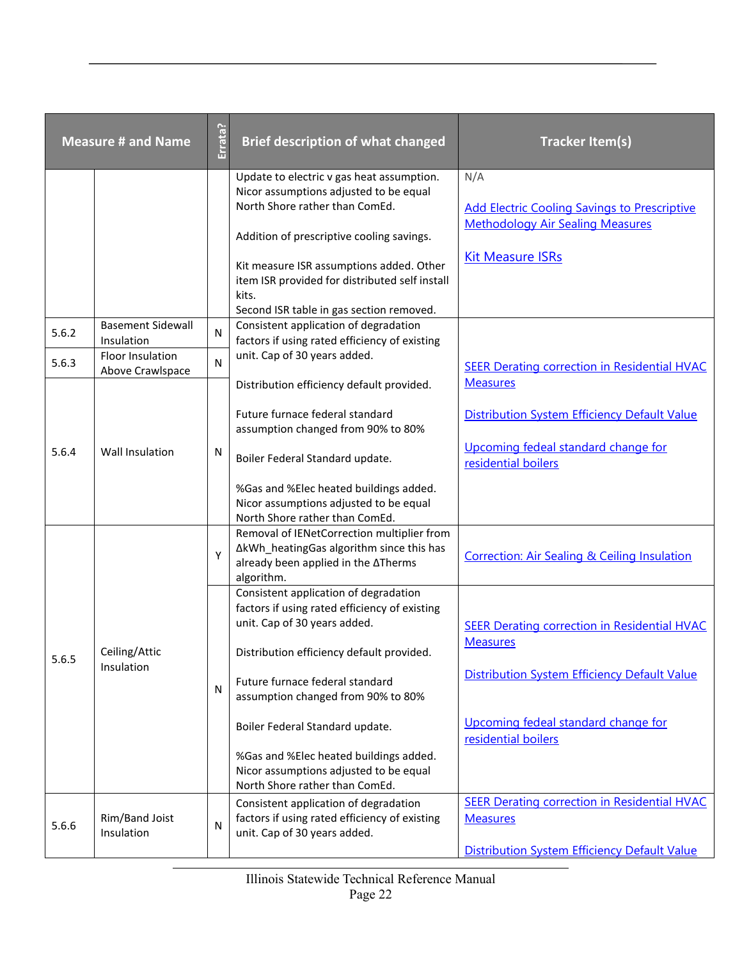| <b>Measure # and Name</b> |                                             | Errata?      | <b>Brief description of what changed</b>                                                                                                                                                                                                     | <b>Tracker Item(s)</b>                                                                                                           |
|---------------------------|---------------------------------------------|--------------|----------------------------------------------------------------------------------------------------------------------------------------------------------------------------------------------------------------------------------------------|----------------------------------------------------------------------------------------------------------------------------------|
|                           |                                             |              | Update to electric v gas heat assumption.<br>Nicor assumptions adjusted to be equal<br>North Shore rather than ComEd.<br>Addition of prescriptive cooling savings.                                                                           | N/A<br><b>Add Electric Cooling Savings to Prescriptive</b><br><b>Methodology Air Sealing Measures</b><br><b>Kit Measure ISRs</b> |
|                           |                                             |              | Kit measure ISR assumptions added. Other<br>item ISR provided for distributed self install<br>kits.<br>Second ISR table in gas section removed.                                                                                              |                                                                                                                                  |
| 5.6.2                     | <b>Basement Sidewall</b><br>Insulation      | ${\sf N}$    | Consistent application of degradation<br>factors if using rated efficiency of existing                                                                                                                                                       |                                                                                                                                  |
| 5.6.3                     | <b>Floor Insulation</b><br>Above Crawlspace | $\mathsf{N}$ | unit. Cap of 30 years added.                                                                                                                                                                                                                 | <b>SEER Derating correction in Residential HVAC</b>                                                                              |
|                           |                                             |              | Distribution efficiency default provided.<br>Future furnace federal standard<br>assumption changed from 90% to 80%                                                                                                                           | <b>Measures</b><br>Distribution System Efficiency Default Value<br>Upcoming fedeal standard change for                           |
| 5.6.4                     | Wall Insulation                             | N            | Boiler Federal Standard update.<br>%Gas and %Elec heated buildings added.<br>Nicor assumptions adjusted to be equal<br>North Shore rather than ComEd.                                                                                        | residential boilers                                                                                                              |
|                           |                                             | Υ            | Removal of IENetCorrection multiplier from<br>∆kWh_heatingGas algorithm since this has<br>already been applied in the ATherms<br>algorithm.                                                                                                  | <b>Correction: Air Sealing &amp; Ceiling Insulation</b>                                                                          |
| 5.6.5                     | Ceiling/Attic<br>Insulation                 | $\mathsf{N}$ | Consistent application of degradation<br>factors if using rated efficiency of existing<br>unit. Cap of 30 years added.<br>Distribution efficiency default provided.<br>Future furnace federal standard<br>assumption changed from 90% to 80% | <b>SEER Derating correction in Residential HVAC</b><br><b>Measures</b><br>Distribution System Efficiency Default Value           |
|                           |                                             |              | Boiler Federal Standard update.<br>%Gas and %Elec heated buildings added.<br>Nicor assumptions adjusted to be equal<br>North Shore rather than ComEd.                                                                                        | Upcoming fedeal standard change for<br>residential boilers                                                                       |
| 5.6.6                     | Rim/Band Joist<br>Insulation                | $\mathsf{N}$ | Consistent application of degradation<br>factors if using rated efficiency of existing<br>unit. Cap of 30 years added.                                                                                                                       | <b>SEER Derating correction in Residential HVAC</b><br><b>Measures</b><br><b>Distribution System Efficiency Default Value</b>    |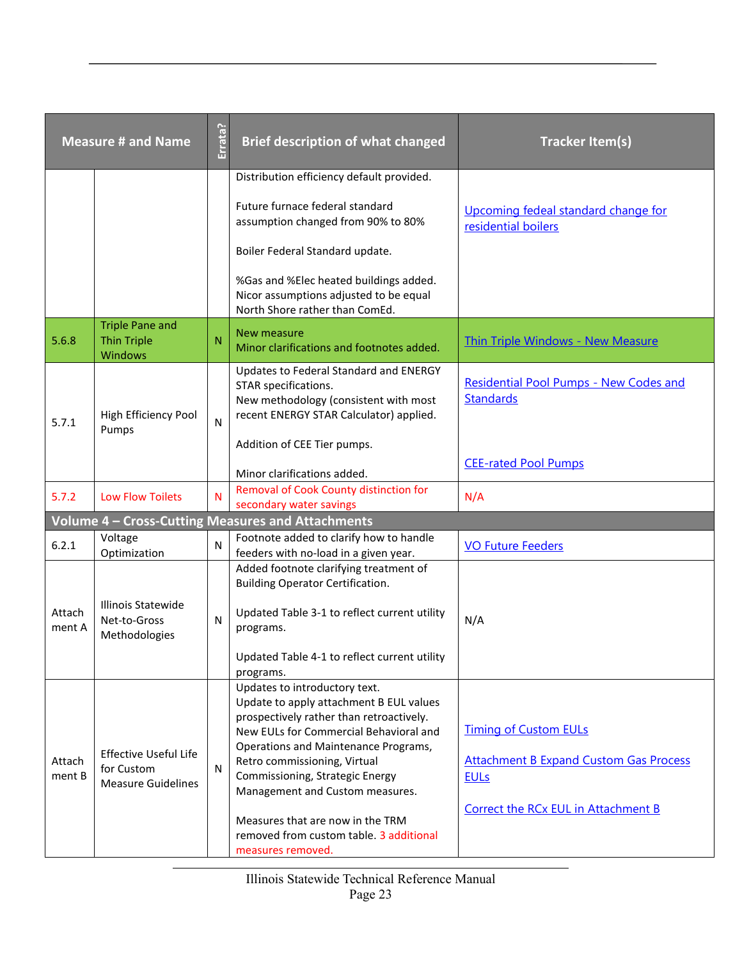| <b>Measure # and Name</b> |                                                                         | Errata?      | <b>Brief description of what changed</b>                                                                                                                                                                                                                                                                                                                                                                         | <b>Tracker Item(s)</b>                                                                                                              |
|---------------------------|-------------------------------------------------------------------------|--------------|------------------------------------------------------------------------------------------------------------------------------------------------------------------------------------------------------------------------------------------------------------------------------------------------------------------------------------------------------------------------------------------------------------------|-------------------------------------------------------------------------------------------------------------------------------------|
|                           |                                                                         |              | Distribution efficiency default provided.                                                                                                                                                                                                                                                                                                                                                                        |                                                                                                                                     |
|                           |                                                                         |              | Future furnace federal standard<br>assumption changed from 90% to 80%                                                                                                                                                                                                                                                                                                                                            | Upcoming fedeal standard change for<br>residential boilers                                                                          |
|                           |                                                                         |              | Boiler Federal Standard update.                                                                                                                                                                                                                                                                                                                                                                                  |                                                                                                                                     |
|                           |                                                                         |              | %Gas and %Elec heated buildings added.<br>Nicor assumptions adjusted to be equal<br>North Shore rather than ComEd.                                                                                                                                                                                                                                                                                               |                                                                                                                                     |
| 5.6.8                     | <b>Triple Pane and</b><br><b>Thin Triple</b><br><b>Windows</b>          | N            | New measure<br>Minor clarifications and footnotes added.                                                                                                                                                                                                                                                                                                                                                         | <b>Thin Triple Windows - New Measure</b>                                                                                            |
| 5.7.1                     | High Efficiency Pool<br>Pumps                                           | ${\sf N}$    | Updates to Federal Standard and ENERGY<br>STAR specifications.<br>New methodology (consistent with most<br>recent ENERGY STAR Calculator) applied.                                                                                                                                                                                                                                                               | Residential Pool Pumps - New Codes and<br><b>Standards</b>                                                                          |
|                           |                                                                         |              | Addition of CEE Tier pumps.<br>Minor clarifications added.                                                                                                                                                                                                                                                                                                                                                       | <b>CEE-rated Pool Pumps</b>                                                                                                         |
| 5.7.2                     | <b>Low Flow Toilets</b>                                                 | N            | Removal of Cook County distinction for<br>secondary water savings                                                                                                                                                                                                                                                                                                                                                | N/A                                                                                                                                 |
|                           |                                                                         |              | <b>Volume 4 - Cross-Cutting Measures and Attachments</b>                                                                                                                                                                                                                                                                                                                                                         |                                                                                                                                     |
| 6.2.1                     | Voltage<br>Optimization                                                 | ${\sf N}$    | Footnote added to clarify how to handle<br>feeders with no-load in a given year.                                                                                                                                                                                                                                                                                                                                 | <b>VO Future Feeders</b>                                                                                                            |
| Attach<br>ment A          | <b>Illinois Statewide</b><br>Net-to-Gross<br>Methodologies              | $\mathsf{N}$ | Added footnote clarifying treatment of<br><b>Building Operator Certification.</b><br>Updated Table 3-1 to reflect current utility<br>programs.<br>Updated Table 4-1 to reflect current utility<br>programs.                                                                                                                                                                                                      | N/A                                                                                                                                 |
| Attach<br>ment B          | <b>Effective Useful Life</b><br>for Custom<br><b>Measure Guidelines</b> | ${\sf N}$    | Updates to introductory text.<br>Update to apply attachment B EUL values<br>prospectively rather than retroactively.<br>New EULs for Commercial Behavioral and<br>Operations and Maintenance Programs,<br>Retro commissioning, Virtual<br>Commissioning, Strategic Energy<br>Management and Custom measures.<br>Measures that are now in the TRM<br>removed from custom table. 3 additional<br>measures removed. | <b>Timing of Custom EULs</b><br><b>Attachment B Expand Custom Gas Process</b><br><b>EULs</b><br>Correct the RCx EUL in Attachment B |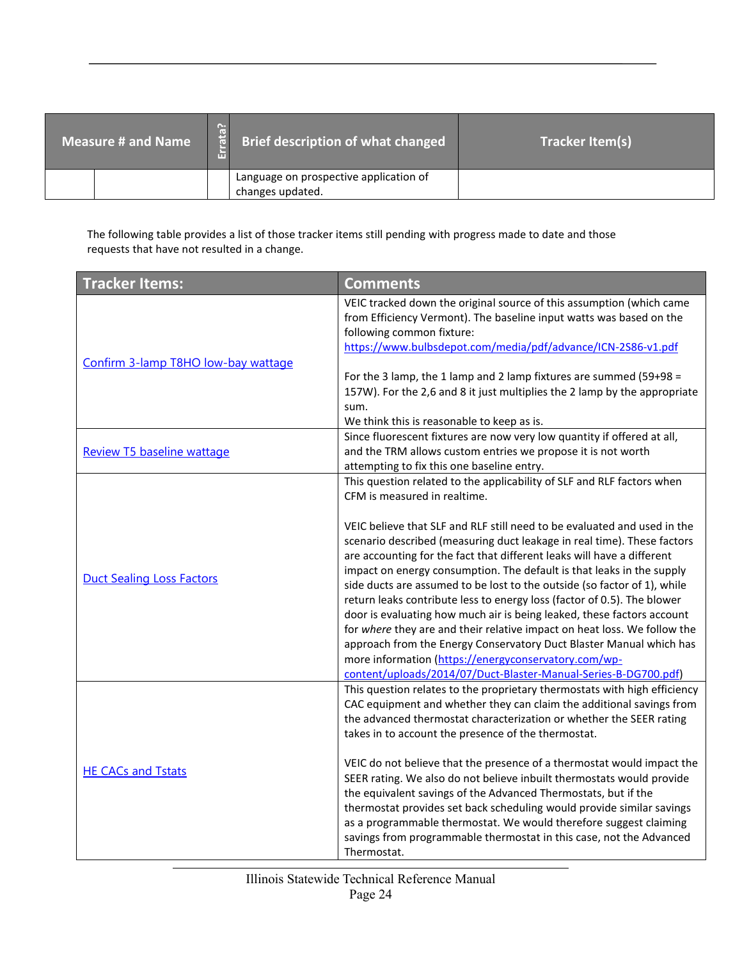| <b>Measure # and Name</b> |  | $\frac{1}{16}$ | Brief description of what changed                          | Tracker Item(s) |
|---------------------------|--|----------------|------------------------------------------------------------|-----------------|
|                           |  |                | Language on prospective application of<br>changes updated. |                 |

The following table provides a list of those tracker items still pending with progress made to date and those requests that have not resulted in a change.

| <b>Tracker Items:</b>               | <b>Comments</b>                                                                                                                                                                                                                                                                                                                                                                                                                                                                                                                                                                                                                                                                                                                                                                                                                                                                                                                 |
|-------------------------------------|---------------------------------------------------------------------------------------------------------------------------------------------------------------------------------------------------------------------------------------------------------------------------------------------------------------------------------------------------------------------------------------------------------------------------------------------------------------------------------------------------------------------------------------------------------------------------------------------------------------------------------------------------------------------------------------------------------------------------------------------------------------------------------------------------------------------------------------------------------------------------------------------------------------------------------|
| Confirm 3-lamp T8HO low-bay wattage | VEIC tracked down the original source of this assumption (which came<br>from Efficiency Vermont). The baseline input watts was based on the<br>following common fixture:<br>https://www.bulbsdepot.com/media/pdf/advance/ICN-2S86-v1.pdf                                                                                                                                                                                                                                                                                                                                                                                                                                                                                                                                                                                                                                                                                        |
|                                     | For the 3 lamp, the 1 lamp and 2 lamp fixtures are summed (59+98 =<br>157W). For the 2,6 and 8 it just multiplies the 2 lamp by the appropriate<br>sum.<br>We think this is reasonable to keep as is.                                                                                                                                                                                                                                                                                                                                                                                                                                                                                                                                                                                                                                                                                                                           |
| Review T5 baseline wattage          | Since fluorescent fixtures are now very low quantity if offered at all,<br>and the TRM allows custom entries we propose it is not worth<br>attempting to fix this one baseline entry.                                                                                                                                                                                                                                                                                                                                                                                                                                                                                                                                                                                                                                                                                                                                           |
| <b>Duct Sealing Loss Factors</b>    | This question related to the applicability of SLF and RLF factors when<br>CFM is measured in realtime.<br>VEIC believe that SLF and RLF still need to be evaluated and used in the<br>scenario described (measuring duct leakage in real time). These factors<br>are accounting for the fact that different leaks will have a different<br>impact on energy consumption. The default is that leaks in the supply<br>side ducts are assumed to be lost to the outside (so factor of 1), while<br>return leaks contribute less to energy loss (factor of 0.5). The blower<br>door is evaluating how much air is being leaked, these factors account<br>for where they are and their relative impact on heat loss. We follow the<br>approach from the Energy Conservatory Duct Blaster Manual which has<br>more information (https://energyconservatory.com/wp-<br>content/uploads/2014/07/Duct-Blaster-Manual-Series-B-DG700.pdf) |
| <b>HE CACs and Tstats</b>           | This question relates to the proprietary thermostats with high efficiency<br>CAC equipment and whether they can claim the additional savings from<br>the advanced thermostat characterization or whether the SEER rating<br>takes in to account the presence of the thermostat.<br>VEIC do not believe that the presence of a thermostat would impact the<br>SEER rating. We also do not believe inbuilt thermostats would provide<br>the equivalent savings of the Advanced Thermostats, but if the<br>thermostat provides set back scheduling would provide similar savings<br>as a programmable thermostat. We would therefore suggest claiming<br>savings from programmable thermostat in this case, not the Advanced<br>Thermostat.                                                                                                                                                                                        |